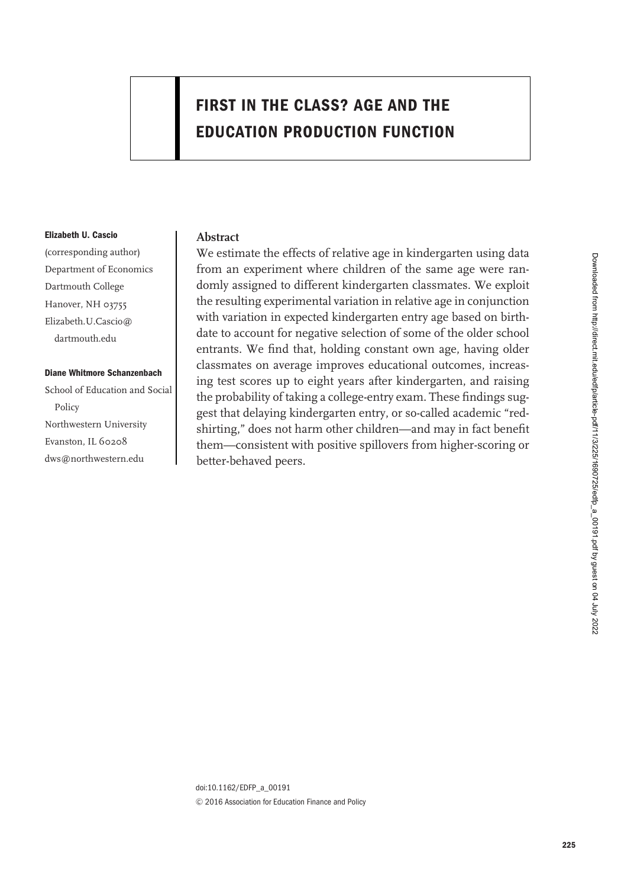# **FIRST IN THE CLASS? AGE AND THE EDUCATION PRODUCTION FUNCTION**

#### **Elizabeth U. Cascio**

(corresponding author) Department of Economics Dartmouth College Hanover, NH 03755 Elizabeth.U.Cascio@ dartmouth.edu

### **Diane Whitmore Schanzenbach**

School of Education and Social Policy Northwestern University Evanston, IL 60208 dws@northwestern.edu

### **Abstract**

We estimate the effects of relative age in kindergarten using data from an experiment where children of the same age were randomly assigned to different kindergarten classmates. We exploit the resulting experimental variation in relative age in conjunction with variation in expected kindergarten entry age based on birthdate to account for negative selection of some of the older school entrants. We find that, holding constant own age, having older classmates on average improves educational outcomes, increasing test scores up to eight years after kindergarten, and raising the probability of taking a college-entry exam. These findings suggest that delaying kindergarten entry, or so-called academic "redshirting," does not harm other children—and may in fact benefit them—consistent with positive spillovers from higher-scoring or better-behaved peers.

doi:10.1162/EDFP\_a\_00191  $© 2016 Association for Education Finance and Policy$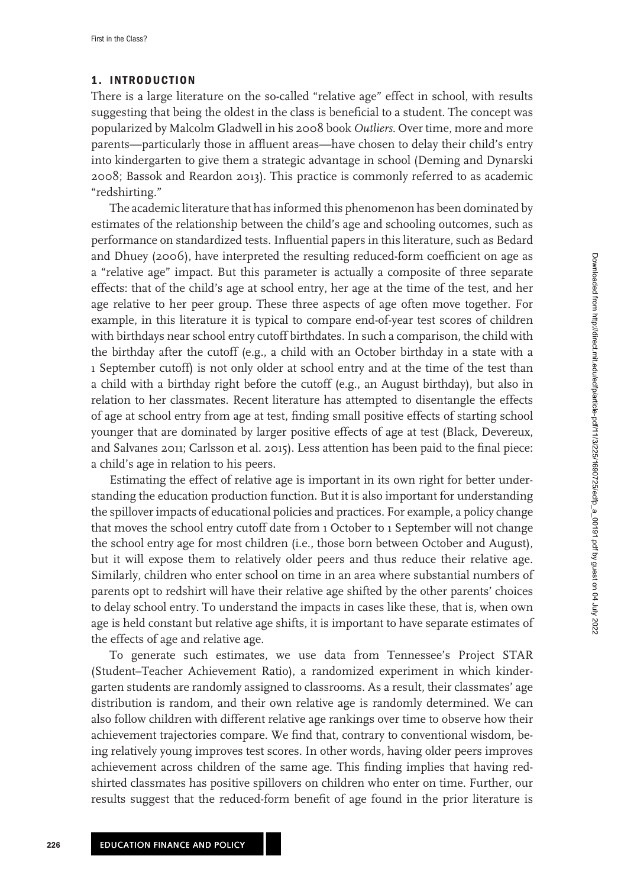### **1. INTRODUCTION**

There is a large literature on the so-called "relative age" effect in school, with results suggesting that being the oldest in the class is beneficial to a student. The concept was popularized by Malcolm Gladwell in his 2008 book *Outliers*. Over time, more and more parents—particularly those in affluent areas—have chosen to delay their child's entry into kindergarten to give them a strategic advantage in school (Deming and Dynarski 2008; Bassok and Reardon 2013). This practice is commonly referred to as academic "redshirting."

The academic literature that has informed this phenomenon has been dominated by estimates of the relationship between the child's age and schooling outcomes, such as performance on standardized tests. Influential papers in this literature, such as Bedard and Dhuey (2006), have interpreted the resulting reduced-form coefficient on age as a "relative age" impact. But this parameter is actually a composite of three separate effects: that of the child's age at school entry, her age at the time of the test, and her age relative to her peer group. These three aspects of age often move together. For example, in this literature it is typical to compare end-of-year test scores of children with birthdays near school entry cutoff birthdates. In such a comparison, the child with the birthday after the cutoff (e.g., a child with an October birthday in a state with a 1 September cutoff) is not only older at school entry and at the time of the test than a child with a birthday right before the cutoff (e.g., an August birthday), but also in relation to her classmates. Recent literature has attempted to disentangle the effects of age at school entry from age at test, finding small positive effects of starting school younger that are dominated by larger positive effects of age at test (Black, Devereux, and Salvanes 2011; Carlsson et al. 2015). Less attention has been paid to the final piece: a child's age in relation to his peers.

Estimating the effect of relative age is important in its own right for better understanding the education production function. But it is also important for understanding the spillover impacts of educational policies and practices. For example, a policy change that moves the school entry cutoff date from 1 October to 1 September will not change the school entry age for most children (i.e., those born between October and August), but it will expose them to relatively older peers and thus reduce their relative age. Similarly, children who enter school on time in an area where substantial numbers of parents opt to redshirt will have their relative age shifted by the other parents' choices to delay school entry. To understand the impacts in cases like these, that is, when own age is held constant but relative age shifts, it is important to have separate estimates of the effects of age and relative age.

To generate such estimates, we use data from Tennessee's Project STAR (Student–Teacher Achievement Ratio), a randomized experiment in which kindergarten students are randomly assigned to classrooms. As a result, their classmates' age distribution is random, and their own relative age is randomly determined. We can also follow children with different relative age rankings over time to observe how their achievement trajectories compare. We find that, contrary to conventional wisdom, being relatively young improves test scores. In other words, having older peers improves achievement across children of the same age. This finding implies that having redshirted classmates has positive spillovers on children who enter on time. Further, our results suggest that the reduced-form benefit of age found in the prior literature is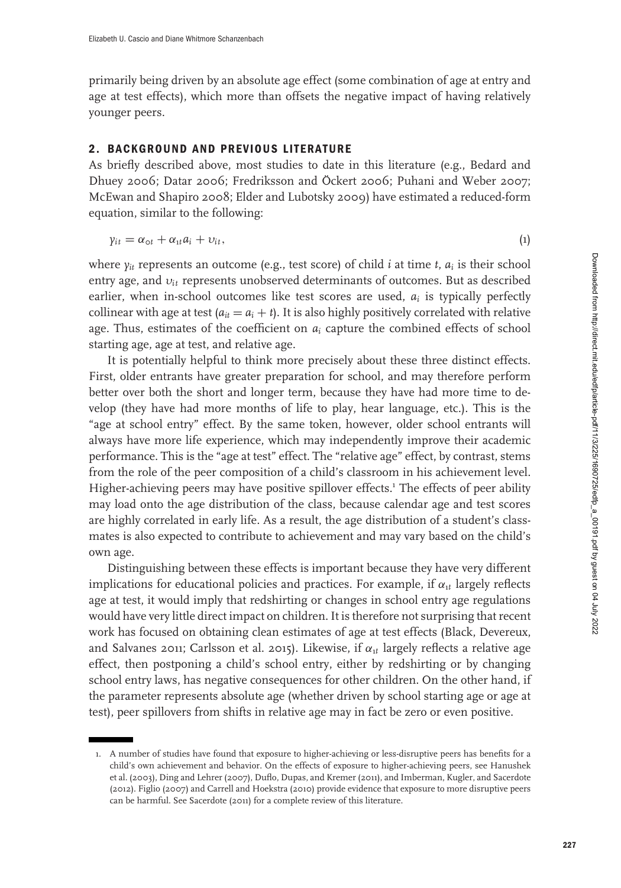primarily being driven by an absolute age effect (some combination of age at entry and age at test effects), which more than offsets the negative impact of having relatively younger peers.

# **2. BACKGROUND AND PREVIOUS LITERATURE**

As briefly described above, most studies to date in this literature (e.g., Bedard and Dhuey 2006; Datar 2006; Fredriksson and Öckert 2006; Puhani and Weber 2007; McEwan and Shapiro 2008; Elder and Lubotsky 2009) have estimated a reduced-form equation, similar to the following:

$$
y_{it} = \alpha_{\text{ot}} + \alpha_{\text{at}} a_i + \upsilon_{it},\tag{1}
$$

where *yit* represents an outcome (e.g., test score) of child *i* at time *t*, *ai* is their school entry age, and υ*it* represents unobserved determinants of outcomes. But as described earlier, when in-school outcomes like test scores are used,  $a_i$  is typically perfectly collinear with age at test  $(a_{it} = a_i + t)$ . It is also highly positively correlated with relative age. Thus, estimates of the coefficient on  $a_i$  capture the combined effects of school starting age, age at test, and relative age.

It is potentially helpful to think more precisely about these three distinct effects. First, older entrants have greater preparation for school, and may therefore perform better over both the short and longer term, because they have had more time to develop (they have had more months of life to play, hear language, etc.). This is the "age at school entry" effect. By the same token, however, older school entrants will always have more life experience, which may independently improve their academic performance. This is the "age at test" effect. The "relative age" effect, by contrast, stems from the role of the peer composition of a child's classroom in his achievement level. Higher-achieving peers may have positive spillover effects.<sup>1</sup> The effects of peer ability may load onto the age distribution of the class, because calendar age and test scores are highly correlated in early life. As a result, the age distribution of a student's classmates is also expected to contribute to achievement and may vary based on the child's own age.

Distinguishing between these effects is important because they have very different implications for educational policies and practices. For example, if  $\alpha_{1t}$  largely reflects age at test, it would imply that redshirting or changes in school entry age regulations would have very little direct impact on children. It is therefore not surprising that recent work has focused on obtaining clean estimates of age at test effects (Black, Devereux, and Salvanes 2011; Carlsson et al. 2015). Likewise, if  $\alpha_{1t}$  largely reflects a relative age effect, then postponing a child's school entry, either by redshirting or by changing school entry laws, has negative consequences for other children. On the other hand, if the parameter represents absolute age (whether driven by school starting age or age at test), peer spillovers from shifts in relative age may in fact be zero or even positive.

<sup>1</sup>. A number of studies have found that exposure to higher-achieving or less-disruptive peers has benefits for a child's own achievement and behavior. On the effects of exposure to higher-achieving peers, see Hanushek et al. (2003), Ding and Lehrer (2007), Duflo, Dupas, and Kremer (2011), and Imberman, Kugler, and Sacerdote (2012). Figlio (2007) and Carrell and Hoekstra (2010) provide evidence that exposure to more disruptive peers can be harmful. See Sacerdote (2011) for a complete review of this literature.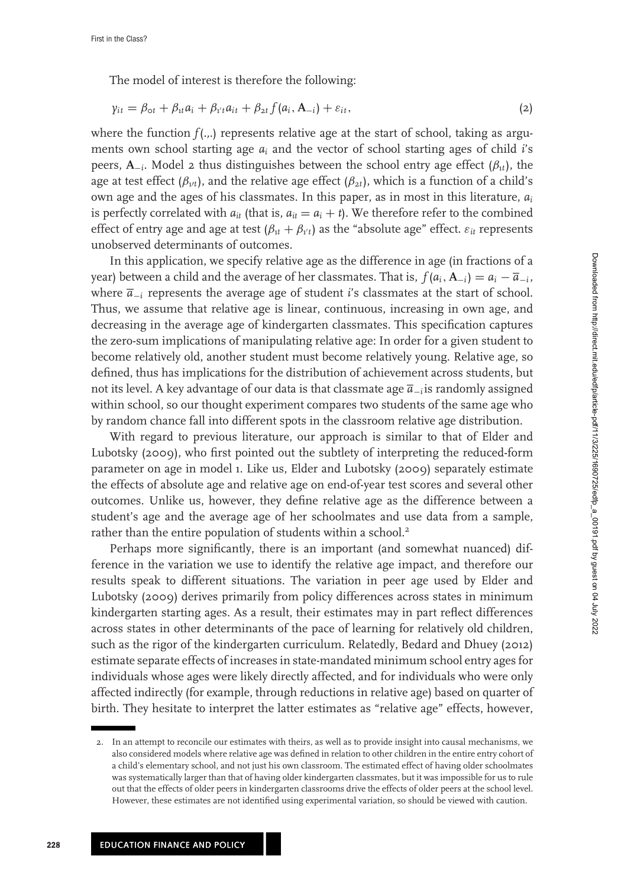The model of interest is therefore the following:

$$
\gamma_{it} = \beta_{\text{ot}} + \beta_{it} a_i + \beta_{i't} a_{it} + \beta_{2t} f(a_i, \mathbf{A}_{-i}) + \varepsilon_{it}, \tag{2}
$$

where the function  $f(.,.)$  represents relative age at the start of school, taking as arguments own school starting age *ai* and the vector of school starting ages of child *i*'s peers,  $\mathbf{A}_{-i}$ . Model 2 thus distinguishes between the school entry age effect ( $\beta_{1i}$ ), the age at test effect  $(\beta_{1/t})$ , and the relative age effect  $(\beta_{2t})$ , which is a function of a child's own age and the ages of his classmates. In this paper, as in most in this literature, *ai* is perfectly correlated with  $a_{it}$  (that is,  $a_{it} = a_i + t$ ). We therefore refer to the combined effect of entry age and age at test  $(\beta_{1t} + \beta_{1't})$  as the "absolute age" effect.  $\varepsilon_{it}$  represents unobserved determinants of outcomes.

In this application, we specify relative age as the difference in age (in fractions of a year) between a child and the average of her classmates. That is,  $f(a_i, A_{-i}) = a_i - \overline{a}_{-i}$ , where *a*−*<sup>i</sup>* represents the average age of student *i*'s classmates at the start of school. Thus, we assume that relative age is linear, continuous, increasing in own age, and decreasing in the average age of kindergarten classmates. This specification captures the zero-sum implications of manipulating relative age: In order for a given student to become relatively old, another student must become relatively young. Relative age, so defined, thus has implications for the distribution of achievement across students, but not its level. A key advantage of our data is that classmate age *a*−*i*is randomly assigned within school, so our thought experiment compares two students of the same age who by random chance fall into different spots in the classroom relative age distribution.

With regard to previous literature, our approach is similar to that of Elder and Lubotsky (2009), who first pointed out the subtlety of interpreting the reduced-form parameter on age in model 1. Like us, Elder and Lubotsky (2009) separately estimate the effects of absolute age and relative age on end-of-year test scores and several other outcomes. Unlike us, however, they define relative age as the difference between a student's age and the average age of her schoolmates and use data from a sample, rather than the entire population of students within a school.<sup>2</sup>

Perhaps more significantly, there is an important (and somewhat nuanced) difference in the variation we use to identify the relative age impact, and therefore our results speak to different situations. The variation in peer age used by Elder and Lubotsky (2009) derives primarily from policy differences across states in minimum kindergarten starting ages. As a result, their estimates may in part reflect differences across states in other determinants of the pace of learning for relatively old children, such as the rigor of the kindergarten curriculum. Relatedly, Bedard and Dhuey (2012) estimate separate effects of increases in state-mandated minimum school entry ages for individuals whose ages were likely directly affected, and for individuals who were only affected indirectly (for example, through reductions in relative age) based on quarter of birth. They hesitate to interpret the latter estimates as "relative age" effects, however,

<sup>2.</sup> In an attempt to reconcile our estimates with theirs, as well as to provide insight into causal mechanisms, we also considered models where relative age was defined in relation to other children in the entire entry cohort of a child's elementary school, and not just his own classroom. The estimated effect of having older schoolmates was systematically larger than that of having older kindergarten classmates, but it was impossible for us to rule out that the effects of older peers in kindergarten classrooms drive the effects of older peers at the school level. However, these estimates are not identified using experimental variation, so should be viewed with caution.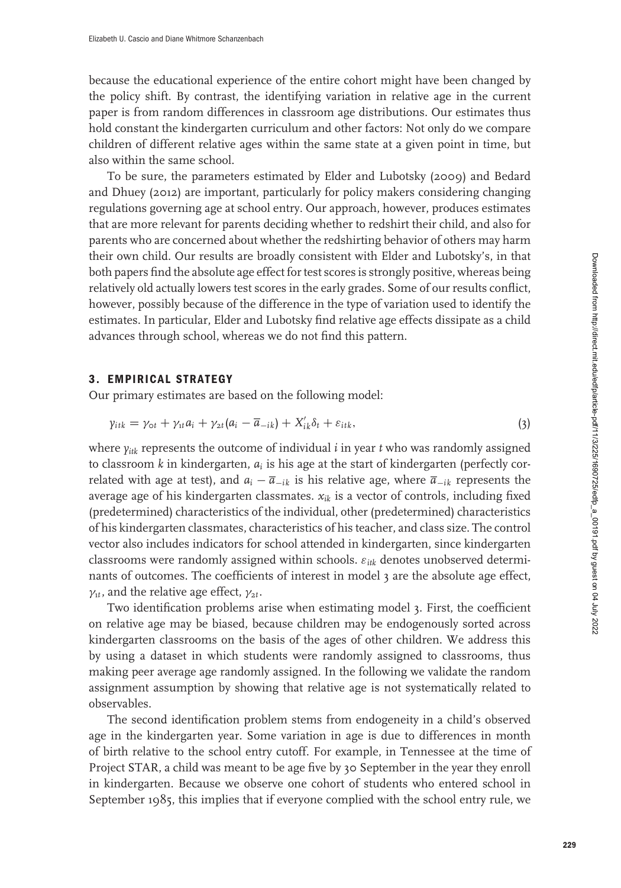because the educational experience of the entire cohort might have been changed by the policy shift. By contrast, the identifying variation in relative age in the current paper is from random differences in classroom age distributions. Our estimates thus hold constant the kindergarten curriculum and other factors: Not only do we compare children of different relative ages within the same state at a given point in time, but also within the same school.

To be sure, the parameters estimated by Elder and Lubotsky (2009) and Bedard and Dhuey (2012) are important, particularly for policy makers considering changing regulations governing age at school entry. Our approach, however, produces estimates that are more relevant for parents deciding whether to redshirt their child, and also for parents who are concerned about whether the redshirting behavior of others may harm their own child. Our results are broadly consistent with Elder and Lubotsky's, in that both papers find the absolute age effect for test scores is strongly positive, whereas being relatively old actually lowers test scores in the early grades. Some of our results conflict, however, possibly because of the difference in the type of variation used to identify the estimates. In particular, Elder and Lubotsky find relative age effects dissipate as a child advances through school, whereas we do not find this pattern.

# **3. EMPIRICAL STRATEGY**

Our primary estimates are based on the following model:

$$
\gamma_{itk} = \gamma_{\text{ot}} + \gamma_{\text{t}} a_i + \gamma_{\text{2}t} (a_i - \overline{a}_{-ik}) + X'_{ik} \delta_t + \varepsilon_{itk}, \qquad (3)
$$

where  $y_{ik}$  represents the outcome of individual *i* in year *t* who was randomly assigned to classroom *k* in kindergarten, *ai* is his age at the start of kindergarten (perfectly correlated with age at test), and  $a_i - \overline{a}_{-ik}$  is his relative age, where  $\overline{a}_{-ik}$  represents the average age of his kindergarten classmates.  $x_{ik}$  is a vector of controls, including fixed (predetermined) characteristics of the individual, other (predetermined) characteristics of his kindergarten classmates, characteristics of his teacher, and class size. The control vector also includes indicators for school attended in kindergarten, since kindergarten classrooms were randomly assigned within schools. ε*itk* denotes unobserved determinants of outcomes. The coefficients of interest in model 3 are the absolute age effect,  $\gamma_{1t}$ , and the relative age effect,  $\gamma_{2t}$ .

Two identification problems arise when estimating model 3. First, the coefficient on relative age may be biased, because children may be endogenously sorted across kindergarten classrooms on the basis of the ages of other children. We address this by using a dataset in which students were randomly assigned to classrooms, thus making peer average age randomly assigned. In the following we validate the random assignment assumption by showing that relative age is not systematically related to observables.

The second identification problem stems from endogeneity in a child's observed age in the kindergarten year. Some variation in age is due to differences in month of birth relative to the school entry cutoff. For example, in Tennessee at the time of Project STAR, a child was meant to be age five by 30 September in the year they enroll in kindergarten. Because we observe one cohort of students who entered school in September 1985, this implies that if everyone complied with the school entry rule, we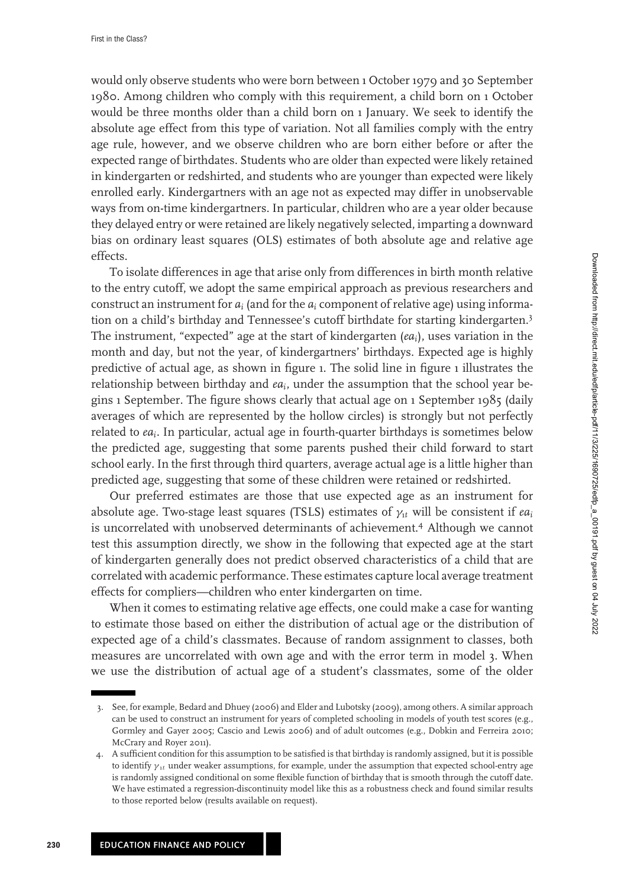would only observe students who were born between 1 October 1979 and 30 September 1980. Among children who comply with this requirement, a child born on 1 October would be three months older than a child born on 1 January. We seek to identify the absolute age effect from this type of variation. Not all families comply with the entry age rule, however, and we observe children who are born either before or after the expected range of birthdates. Students who are older than expected were likely retained in kindergarten or redshirted, and students who are younger than expected were likely enrolled early. Kindergartners with an age not as expected may differ in unobservable ways from on-time kindergartners. In particular, children who are a year older because they delayed entry or were retained are likely negatively selected, imparting a downward bias on ordinary least squares (OLS) estimates of both absolute age and relative age effects.

To isolate differences in age that arise only from differences in birth month relative to the entry cutoff, we adopt the same empirical approach as previous researchers and construct an instrument for *ai* (and for the *ai* component of relative age) using information on a child's birthday and Tennessee's cutoff birthdate for starting kindergarten.<sup>3</sup> The instrument, "expected" age at the start of kindergarten (*eai*), uses variation in the month and day, but not the year, of kindergartners' birthdays. Expected age is highly predictive of actual age, as shown in figure 1. The solid line in figure 1 illustrates the relationship between birthday and *eai*, under the assumption that the school year begins 1 September. The figure shows clearly that actual age on 1 September 1985 (daily averages of which are represented by the hollow circles) is strongly but not perfectly related to *eai*. In particular, actual age in fourth-quarter birthdays is sometimes below the predicted age, suggesting that some parents pushed their child forward to start school early. In the first through third quarters, average actual age is a little higher than predicted age, suggesting that some of these children were retained or redshirted.

Our preferred estimates are those that use expected age as an instrument for absolute age. Two-stage least squares (TSLS) estimates of  $\gamma_{tt}$  will be consistent if  $ea_i$ is uncorrelated with unobserved determinants of achievement.4 Although we cannot test this assumption directly, we show in the following that expected age at the start of kindergarten generally does not predict observed characteristics of a child that are correlated with academic performance. These estimates capture local average treatment effects for compliers—children who enter kindergarten on time.

When it comes to estimating relative age effects, one could make a case for wanting to estimate those based on either the distribution of actual age or the distribution of expected age of a child's classmates. Because of random assignment to classes, both measures are uncorrelated with own age and with the error term in model 3. When we use the distribution of actual age of a student's classmates, some of the older

<sup>3.</sup> See, for example, Bedard and Dhuey (2006) and Elder and Lubotsky (2009), among others. A similar approach can be used to construct an instrument for years of completed schooling in models of youth test scores (e.g., Gormley and Gayer 2005; Cascio and Lewis 2006) and of adult outcomes (e.g., Dobkin and Ferreira 2010; McCrary and Royer 2011).

<sup>4.</sup> A sufficient condition for this assumption to be satisfied is that birthday is randomly assigned, but it is possible to identify  $\gamma_{1t}$  under weaker assumptions, for example, under the assumption that expected school-entry age is randomly assigned conditional on some flexible function of birthday that is smooth through the cutoff date. We have estimated a regression-discontinuity model like this as a robustness check and found similar results to those reported below (results available on request).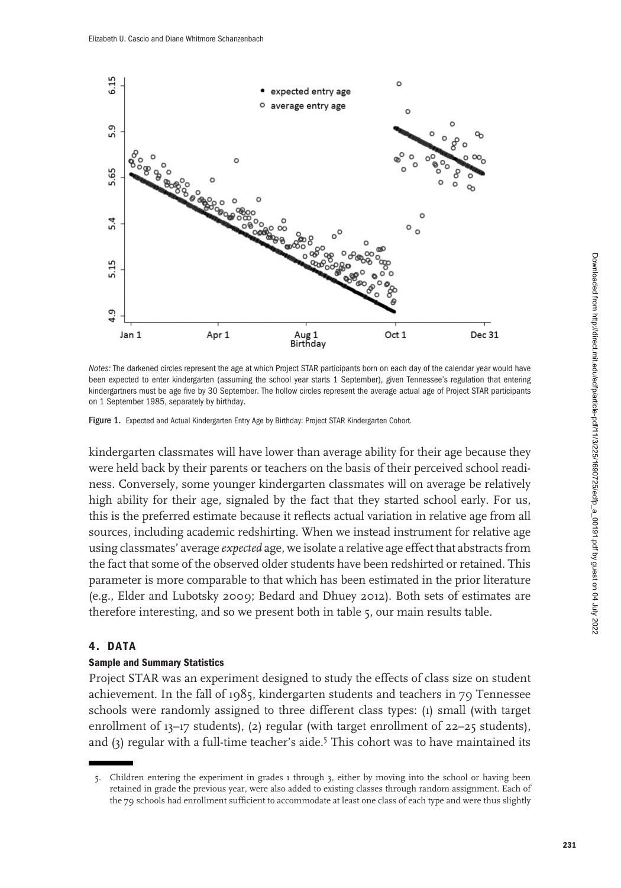

*Notes:* The darkened circles represent the age at which Project STAR participants born on each day of the calendar year would have been expected to enter kindergarten (assuming the school year starts 1 September), given Tennessee's regulation that entering kindergartners must be age five by 30 September. The hollow circles represent the average actual age of Project STAR participants on 1 September 1985, separately by birthday.

Figure 1. Expected and Actual Kindergarten Entry Age by Birthday: Project STAR Kindergarten Cohort.

kindergarten classmates will have lower than average ability for their age because they were held back by their parents or teachers on the basis of their perceived school readiness. Conversely, some younger kindergarten classmates will on average be relatively high ability for their age, signaled by the fact that they started school early. For us, this is the preferred estimate because it reflects actual variation in relative age from all sources, including academic redshirting. When we instead instrument for relative age using classmates' average *expected* age, we isolate a relative age effect that abstracts from the fact that some of the observed older students have been redshirted or retained. This parameter is more comparable to that which has been estimated in the prior literature (e.g., Elder and Lubotsky 2009; Bedard and Dhuey 2012). Both sets of estimates are therefore interesting, and so we present both in table 5, our main results table.

### **4. DATA**

### **Sample and Summary Statistics**

Project STAR was an experiment designed to study the effects of class size on student achievement. In the fall of 1985, kindergarten students and teachers in 79 Tennessee schools were randomly assigned to three different class types: (1) small (with target enrollment of 13-17 students), (2) regular (with target enrollment of 22-25 students), and  $(3)$  regular with a full-time teacher's aide.<sup>5</sup> This cohort was to have maintained its

<sup>5.</sup> Children entering the experiment in grades 1 through 3, either by moving into the school or having been retained in grade the previous year, were also added to existing classes through random assignment. Each of the 79 schools had enrollment sufficient to accommodate at least one class of each type and were thus slightly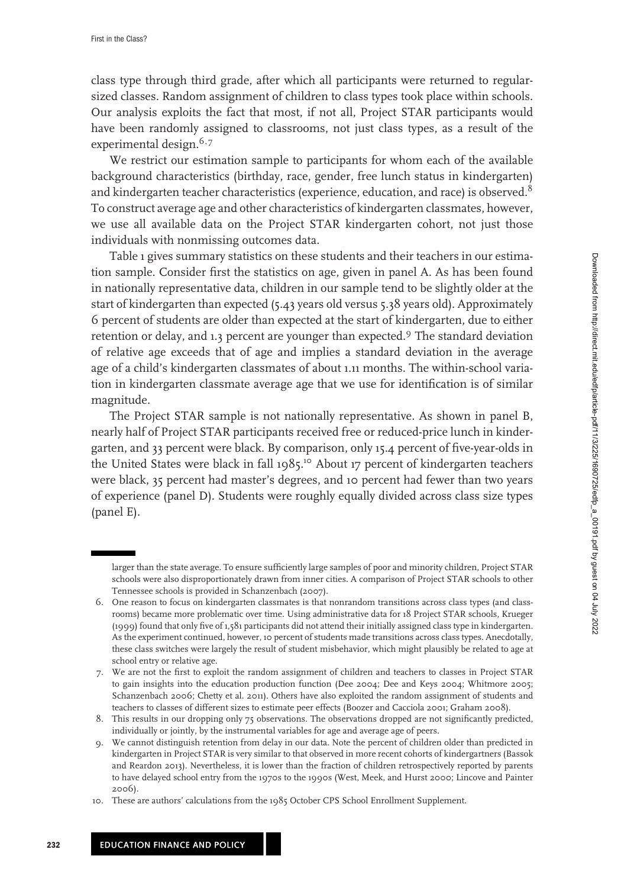class type through third grade, after which all participants were returned to regularsized classes. Random assignment of children to class types took place within schools. Our analysis exploits the fact that most, if not all, Project STAR participants would have been randomly assigned to classrooms, not just class types, as a result of the experimental design. $6,7$ 

We restrict our estimation sample to participants for whom each of the available background characteristics (birthday, race, gender, free lunch status in kindergarten) and kindergarten teacher characteristics (experience, education, and race) is observed.<sup>8</sup> To construct average age and other characteristics of kindergarten classmates, however, we use all available data on the Project STAR kindergarten cohort, not just those individuals with nonmissing outcomes data.

Table 1 gives summary statistics on these students and their teachers in our estimation sample. Consider first the statistics on age, given in panel A. As has been found in nationally representative data, children in our sample tend to be slightly older at the start of kindergarten than expected (5.43 years old versus 5.38 years old). Approximately 6 percent of students are older than expected at the start of kindergarten, due to either retention or delay, and 1.3 percent are younger than expected.9 The standard deviation of relative age exceeds that of age and implies a standard deviation in the average age of a child's kindergarten classmates of about 1.11 months. The within-school variation in kindergarten classmate average age that we use for identification is of similar magnitude.

The Project STAR sample is not nationally representative. As shown in panel B, nearly half of Project STAR participants received free or reduced-price lunch in kindergarten, and 33 percent were black. By comparison, only 15.4 percent of five-year-olds in the United States were black in fall 1985.<sup>10</sup> About 17 percent of kindergarten teachers were black, 35 percent had master's degrees, and 10 percent had fewer than two years of experience (panel D). Students were roughly equally divided across class size types (panel E).

larger than the state average. To ensure sufficiently large samples of poor and minority children, Project STAR schools were also disproportionately drawn from inner cities. A comparison of Project STAR schools to other Tennessee schools is provided in Schanzenbach (2007).

<sup>6.</sup> One reason to focus on kindergarten classmates is that nonrandom transitions across class types (and classrooms) became more problematic over time. Using administrative data for 18 Project STAR schools, Krueger (1999) found that only five of 1,581 participants did not attend their initially assigned class type in kindergarten. As the experiment continued, however, 10 percent of students made transitions across class types. Anecdotally, these class switches were largely the result of student misbehavior, which might plausibly be related to age at school entry or relative age.

<sup>7.</sup> We are not the first to exploit the random assignment of children and teachers to classes in Project STAR to gain insights into the education production function (Dee 2004; Dee and Keys 2004; Whitmore 2005; Schanzenbach 2006; Chetty et al. 2011). Others have also exploited the random assignment of students and teachers to classes of different sizes to estimate peer effects (Boozer and Cacciola 2001; Graham 2008).

<sup>8.</sup> This results in our dropping only 75 observations. The observations dropped are not significantly predicted, individually or jointly, by the instrumental variables for age and average age of peers.

<sup>9.</sup> We cannot distinguish retention from delay in our data. Note the percent of children older than predicted in kindergarten in Project STAR is very similar to that observed in more recent cohorts of kindergartners (Bassok and Reardon 2013). Nevertheless, it is lower than the fraction of children retrospectively reported by parents to have delayed school entry from the 1970s to the 1990s (West, Meek, and Hurst 2000; Lincove and Painter 2006).

<sup>1</sup>0. These are authors' calculations from the 1985 October CPS School Enrollment Supplement.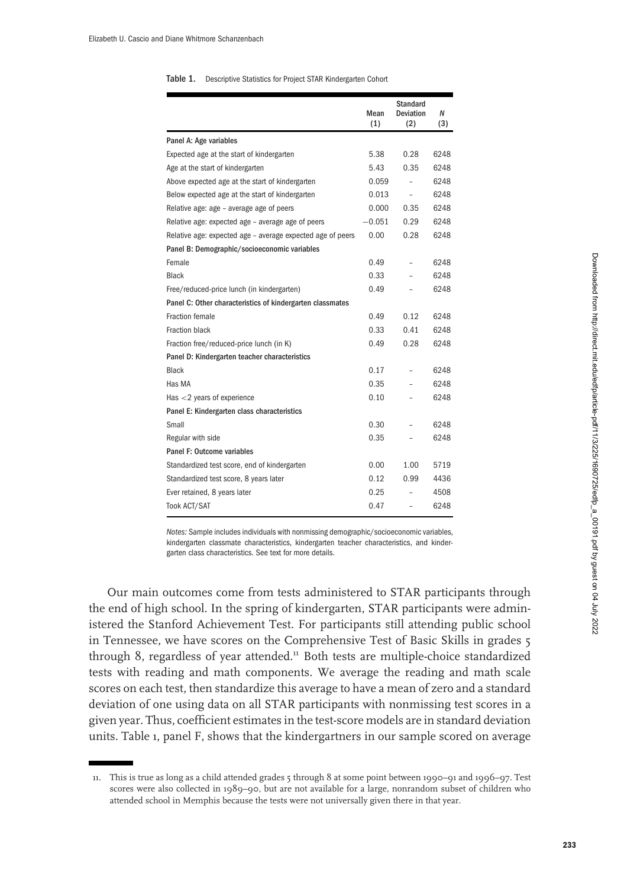#### Table 1. Descriptive Statistics for Project STAR Kindergarten Cohort

|                                                            | Mean<br>(1) | <b>Standard</b><br><b>Deviation</b><br>(2) | Ν<br>(3) |
|------------------------------------------------------------|-------------|--------------------------------------------|----------|
| Panel A: Age variables                                     |             |                                            |          |
| Expected age at the start of kindergarten                  | 5.38        | 0.28                                       | 6248     |
| Age at the start of kindergarten                           | 5.43        | 0.35                                       | 6248     |
| Above expected age at the start of kindergarten            | 0.059       |                                            | 6248     |
| Below expected age at the start of kindergarten            | 0.013       | $\overline{a}$                             | 6248     |
| Relative age: age – average age of peers                   | 0.000       | 0.35                                       | 6248     |
| Relative age: expected age - average age of peers          | $-0.051$    | 0.29                                       | 6248     |
| Relative age: expected age - average expected age of peers | 0.00        | 0.28                                       | 6248     |
| Panel B: Demographic/socioeconomic variables               |             |                                            |          |
| Female                                                     | 0.49        | ÷                                          | 6248     |
| <b>Black</b>                                               | 0.33        | $\overline{\phantom{0}}$                   | 6248     |
| Free/reduced-price lunch (in kindergarten)                 | 0.49        |                                            | 6248     |
| Panel C: Other characteristics of kindergarten classmates  |             |                                            |          |
| Fraction female                                            | 0.49        | 0.12                                       | 6248     |
| Fraction black                                             | 0.33        | 0.41                                       | 6248     |
| Fraction free/reduced-price lunch (in K)                   | 0.49        | 0.28                                       | 6248     |
| Panel D: Kindergarten teacher characteristics              |             |                                            |          |
| <b>Black</b>                                               | 0.17        |                                            | 6248     |
| Has MA                                                     | 0.35        |                                            | 6248     |
| Has $<$ 2 years of experience                              | 0.10        |                                            | 6248     |
| Panel E: Kindergarten class characteristics                |             |                                            |          |
| Small                                                      | 0.30        |                                            | 6248     |
| Regular with side                                          | 0.35        |                                            | 6248     |
| Panel F: Outcome variables                                 |             |                                            |          |
| Standardized test score, end of kindergarten               | 0.00        | 1.00                                       | 5719     |
| Standardized test score, 8 years later                     | 0.12        | 0.99                                       | 4436     |
| Ever retained, 8 years later                               | 0.25        |                                            | 4508     |
| <b>Took ACT/SAT</b>                                        | 0.47        | $\overline{a}$                             | 6248     |

*Notes:* Sample includes individuals with nonmissing demographic/socioeconomic variables, kindergarten classmate characteristics, kindergarten teacher characteristics, and kindergarten class characteristics. See text for more details.

Our main outcomes come from tests administered to STAR participants through the end of high school. In the spring of kindergarten, STAR participants were administered the Stanford Achievement Test. For participants still attending public school in Tennessee, we have scores on the Comprehensive Test of Basic Skills in grades 5 through 8, regardless of year attended.<sup>11</sup> Both tests are multiple-choice standardized tests with reading and math components. We average the reading and math scale scores on each test, then standardize this average to have a mean of zero and a standard deviation of one using data on all STAR participants with nonmissing test scores in a given year. Thus, coefficient estimates in the test-score models are in standard deviation units. Table 1, panel F, shows that the kindergartners in our sample scored on average

<sup>11</sup>. This is true as long as a child attended grades 5 through 8 at some point between 1990–91 and 1996–97. Test scores were also collected in 1989–90, but are not available for a large, nonrandom subset of children who attended school in Memphis because the tests were not universally given there in that year.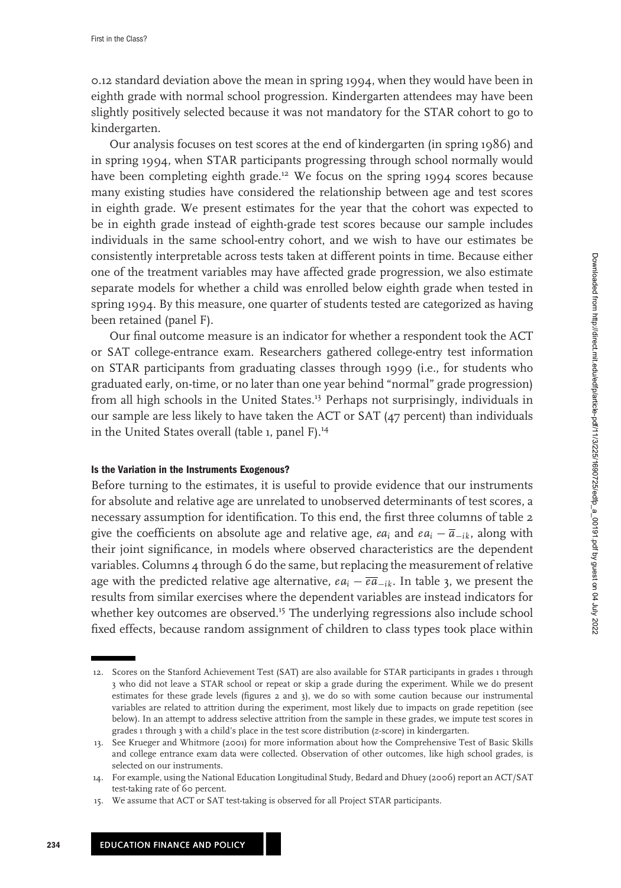0.12 standard deviation above the mean in spring 1994, when they would have been in eighth grade with normal school progression. Kindergarten attendees may have been slightly positively selected because it was not mandatory for the STAR cohort to go to kindergarten.

Our analysis focuses on test scores at the end of kindergarten (in spring 1986) and in spring 1994, when STAR participants progressing through school normally would have been completing eighth grade.<sup>12</sup> We focus on the spring 1994 scores because many existing studies have considered the relationship between age and test scores in eighth grade. We present estimates for the year that the cohort was expected to be in eighth grade instead of eighth-grade test scores because our sample includes individuals in the same school-entry cohort, and we wish to have our estimates be consistently interpretable across tests taken at different points in time. Because either one of the treatment variables may have affected grade progression, we also estimate separate models for whether a child was enrolled below eighth grade when tested in spring 1994. By this measure, one quarter of students tested are categorized as having been retained (panel F).

Our final outcome measure is an indicator for whether a respondent took the ACT or SAT college-entrance exam. Researchers gathered college-entry test information on STAR participants from graduating classes through 1999 (i.e., for students who graduated early, on-time, or no later than one year behind "normal" grade progression) from all high schools in the United States.<sup>1</sup><sup>3</sup> Perhaps not surprisingly, individuals in our sample are less likely to have taken the ACT or SAT (47 percent) than individuals in the United States overall (table 1, panel F).<sup>14</sup>

#### **Is the Variation in the Instruments Exogenous?**

Before turning to the estimates, it is useful to provide evidence that our instruments for absolute and relative age are unrelated to unobserved determinants of test scores, a necessary assumption for identification. To this end, the first three columns of table 2 give the coefficients on absolute age and relative age,  $ea_i$  and  $ea_i - \overline{a}_{-ik}$ , along with their joint significance, in models where observed characteristics are the dependent variables. Columns 4 through 6 do the same, but replacing the measurement of relative age with the predicted relative age alternative, *eai* − *ea*−*ik*. In table 3, we present the results from similar exercises where the dependent variables are instead indicators for whether key outcomes are observed.<sup>15</sup> The underlying regressions also include school fixed effects, because random assignment of children to class types took place within

<sup>1</sup>2. Scores on the Stanford Achievement Test (SAT) are also available for STAR participants in grades 1 through 3 who did not leave a STAR school or repeat or skip a grade during the experiment. While we do present estimates for these grade levels (figures 2 and 3), we do so with some caution because our instrumental variables are related to attrition during the experiment, most likely due to impacts on grade repetition (see below). In an attempt to address selective attrition from the sample in these grades, we impute test scores in grades 1 through 3 with a child's place in the test score distribution (*z*-score) in kindergarten.

<sup>1</sup>3. See Krueger and Whitmore (2001) for more information about how the Comprehensive Test of Basic Skills and college entrance exam data were collected. Observation of other outcomes, like high school grades, is selected on our instruments.

<sup>1</sup>4. For example, using the National Education Longitudinal Study, Bedard and Dhuey (2006) report an ACT/SAT test-taking rate of 60 percent.

<sup>1</sup>5. We assume that ACT or SAT test-taking is observed for all Project STAR participants.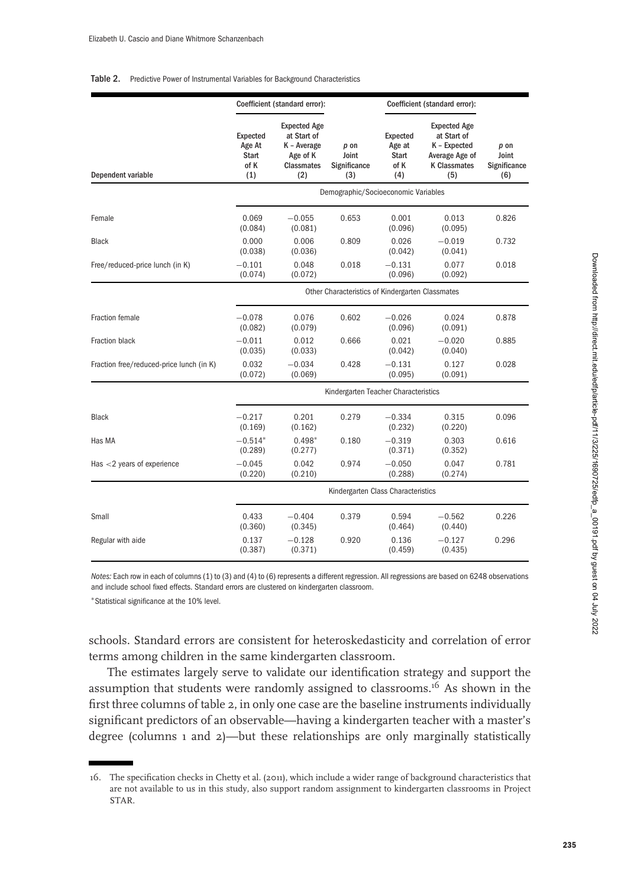#### Table 2. Predictive Power of Instrumental Variables for Background Characteristics

|                                          | Coefficient (standard error):              |                                                                                           |                                                  | Coefficient (standard error):                     |                                                                                                    |                                      |  |
|------------------------------------------|--------------------------------------------|-------------------------------------------------------------------------------------------|--------------------------------------------------|---------------------------------------------------|----------------------------------------------------------------------------------------------------|--------------------------------------|--|
| Dependent variable                       | Expected<br>Age At<br>Start<br>of K<br>(1) | <b>Expected Age</b><br>at Start of<br>K - Average<br>Age of K<br><b>Classmates</b><br>(2) | $p$ on<br>Joint<br>Significance<br>(3)           | Expected<br>Age at<br><b>Start</b><br>of K<br>(4) | <b>Expected Age</b><br>at Start of<br>K - Expected<br>Average Age of<br><b>K Classmates</b><br>(5) | p on<br>Joint<br>Significance<br>(6) |  |
|                                          | Demographic/Socioeconomic Variables        |                                                                                           |                                                  |                                                   |                                                                                                    |                                      |  |
| Female                                   | 0.069<br>(0.084)                           | $-0.055$<br>(0.081)                                                                       | 0.653                                            | 0.001<br>(0.096)                                  | 0.013<br>(0.095)                                                                                   | 0.826                                |  |
| <b>Black</b>                             | 0.000<br>(0.038)                           | 0.006<br>(0.036)                                                                          | 0.809                                            | 0.026<br>(0.042)                                  | $-0.019$<br>(0.041)                                                                                | 0.732                                |  |
| Free/reduced-price lunch (in K)          | $-0.101$<br>(0.074)                        | 0.048<br>(0.072)                                                                          | 0.018                                            | $-0.131$<br>(0.096)                               | 0.077<br>(0.092)                                                                                   | 0.018                                |  |
|                                          |                                            |                                                                                           | Other Characteristics of Kindergarten Classmates |                                                   |                                                                                                    |                                      |  |
| <b>Fraction female</b>                   | $-0.078$<br>(0.082)                        | 0.076<br>(0.079)                                                                          | 0.602                                            | $-0.026$<br>(0.096)                               | 0.024<br>(0.091)                                                                                   | 0.878                                |  |
| Fraction black                           | $-0.011$<br>(0.035)                        | 0.012<br>(0.033)                                                                          | 0.666                                            | 0.021<br>(0.042)                                  | $-0.020$<br>(0.040)                                                                                | 0.885                                |  |
| Fraction free/reduced-price lunch (in K) | 0.032<br>(0.072)                           | $-0.034$<br>(0.069)                                                                       | 0.428                                            | $-0.131$<br>(0.095)                               | 0.127<br>(0.091)                                                                                   | 0.028                                |  |
|                                          |                                            |                                                                                           | Kindergarten Teacher Characteristics             |                                                   |                                                                                                    |                                      |  |
| <b>Black</b>                             | $-0.217$<br>(0.169)                        | 0.201<br>(0.162)                                                                          | 0.279                                            | $-0.334$<br>(0.232)                               | 0.315<br>(0.220)                                                                                   | 0.096                                |  |
| Has MA                                   | $-0.514*$<br>(0.289)                       | $0.498*$<br>(0.277)                                                                       | 0.180                                            | $-0.319$<br>(0.371)                               | 0.303<br>(0.352)                                                                                   | 0.616                                |  |
| Has $<$ 2 years of experience            | $-0.045$<br>(0.220)                        | 0.042<br>(0.210)                                                                          | 0.974                                            | $-0.050$<br>(0.288)                               | 0.047<br>(0.274)                                                                                   | 0.781                                |  |
|                                          |                                            |                                                                                           | Kindergarten Class Characteristics               |                                                   |                                                                                                    |                                      |  |
| Small                                    | 0.433<br>(0.360)                           | $-0.404$<br>(0.345)                                                                       | 0.379                                            | 0.594<br>(0.464)                                  | $-0.562$<br>(0.440)                                                                                | 0.226                                |  |
| Regular with aide                        | 0.137<br>(0.387)                           | $-0.128$<br>(0.371)                                                                       | 0.920                                            | 0.136<br>(0.459)                                  | $-0.127$<br>(0.435)                                                                                | 0.296                                |  |

*Notes:* Each row in each of columns (1) to (3) and (4) to (6) represents a different regression. All regressions are based on 6248 observations and include school fixed effects. Standard errors are clustered on kindergarten classroom.

∗Statistical significance at the 10% level.

schools. Standard errors are consistent for heteroskedasticity and correlation of error terms among children in the same kindergarten classroom.

The estimates largely serve to validate our identification strategy and support the assumption that students were randomly assigned to classrooms.<sup>16</sup> As shown in the first three columns of table 2, in only one case are the baseline instruments individually significant predictors of an observable—having a kindergarten teacher with a master's degree (columns 1 and 2)—but these relationships are only marginally statistically

<sup>1</sup>6. The specification checks in Chetty et al. (2011), which include a wider range of background characteristics that are not available to us in this study, also support random assignment to kindergarten classrooms in Project STAR.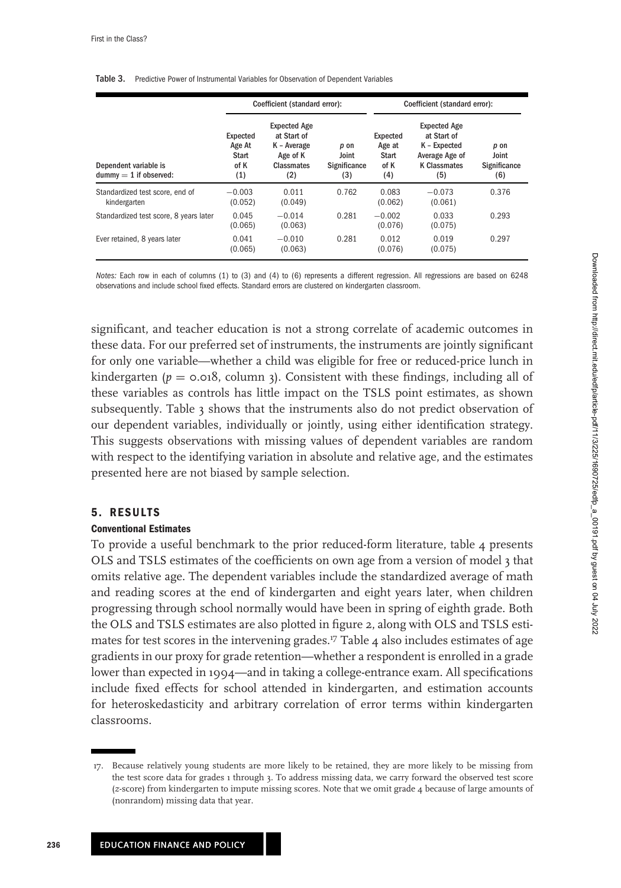|                                                      |                                                   | Coefficient (standard error):                                                      |                                      |                                                   | Coefficient (standard error):                                                                      |                                      |  |  |
|------------------------------------------------------|---------------------------------------------------|------------------------------------------------------------------------------------|--------------------------------------|---------------------------------------------------|----------------------------------------------------------------------------------------------------|--------------------------------------|--|--|
| Dependent variable is<br>$d$ ummv $=$ 1 if observed: | Expected<br>Age At<br><b>Start</b><br>of K<br>(1) | <b>Expected Age</b><br>at Start of<br>K - Average<br>Age of K<br>Classmates<br>(2) | p on<br>Joint<br>Significance<br>(3) | Expected<br>Age at<br><b>Start</b><br>of K<br>(4) | <b>Expected Age</b><br>at Start of<br>K - Expected<br>Average Age of<br><b>K Classmates</b><br>(5) | p on<br>Joint<br>Significance<br>(6) |  |  |
| Standardized test score, end of<br>kindergarten      | $-0.003$<br>(0.052)                               | 0.011<br>(0.049)                                                                   | 0.762                                | 0.083<br>(0.062)                                  | $-0.073$<br>(0.061)                                                                                | 0.376                                |  |  |
| Standardized test score, 8 years later               | 0.045<br>(0.065)                                  | $-0.014$<br>(0.063)                                                                | 0.281                                | $-0.002$<br>(0.076)                               | 0.033<br>(0.075)                                                                                   | 0.293                                |  |  |
| Ever retained, 8 years later                         | 0.041<br>(0.065)                                  | $-0.010$<br>(0.063)                                                                | 0.281                                | 0.012<br>(0.076)                                  | 0.019<br>(0.075)                                                                                   | 0.297                                |  |  |

#### Table 3. Predictive Power of Instrumental Variables for Observation of Dependent Variables

*Notes:* Each row in each of columns (1) to (3) and (4) to (6) represents a different regression. All regressions are based on 6248 observations and include school fixed effects. Standard errors are clustered on kindergarten classroom.

significant, and teacher education is not a strong correlate of academic outcomes in these data. For our preferred set of instruments, the instruments are jointly significant for only one variable—whether a child was eligible for free or reduced-price lunch in kindergarten ( $p = 0.018$ , column 3). Consistent with these findings, including all of these variables as controls has little impact on the TSLS point estimates, as shown subsequently. Table 3 shows that the instruments also do not predict observation of our dependent variables, individually or jointly, using either identification strategy. This suggests observations with missing values of dependent variables are random with respect to the identifying variation in absolute and relative age, and the estimates presented here are not biased by sample selection.

### **5. RESULTS**

### **Conventional Estimates**

To provide a useful benchmark to the prior reduced-form literature, table 4 presents OLS and TSLS estimates of the coefficients on own age from a version of model 3 that omits relative age. The dependent variables include the standardized average of math and reading scores at the end of kindergarten and eight years later, when children progressing through school normally would have been in spring of eighth grade. Both the OLS and TSLS estimates are also plotted in figure 2, along with OLS and TSLS estimates for test scores in the intervening grades.<sup>17</sup> Table  $4$  also includes estimates of age gradients in our proxy for grade retention—whether a respondent is enrolled in a grade lower than expected in 1994—and in taking a college-entrance exam. All specifications include fixed effects for school attended in kindergarten, and estimation accounts for heteroskedasticity and arbitrary correlation of error terms within kindergarten classrooms.

**236**

<sup>1</sup>7. Because relatively young students are more likely to be retained, they are more likely to be missing from the test score data for grades 1 through 3. To address missing data, we carry forward the observed test score (*z*-score) from kindergarten to impute missing scores. Note that we omit grade 4 because of large amounts of (nonrandom) missing data that year.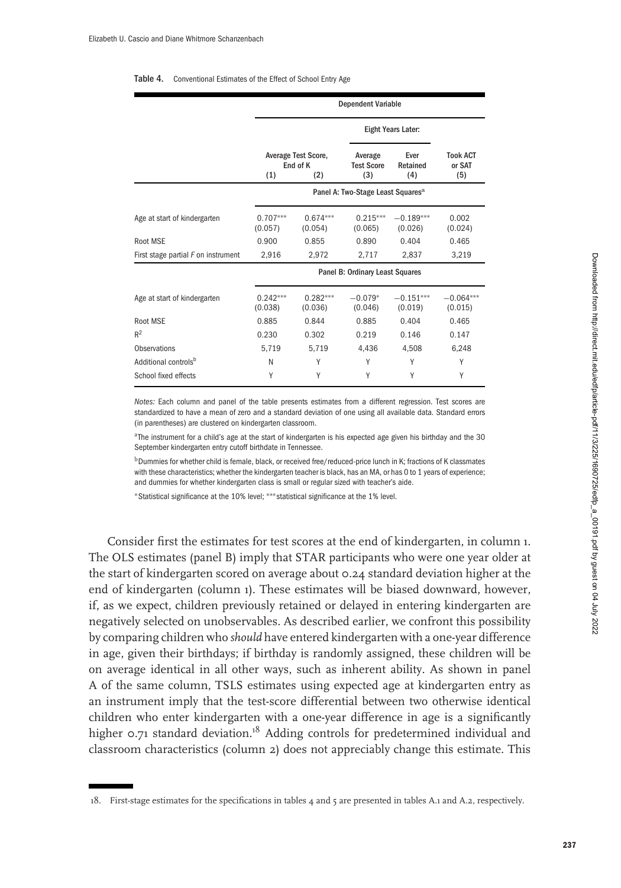#### Table 4. Conventional Estimates of the Effect of School Entry Age

|                                     | <b>Dependent Variable</b>                     |                                               |                                     |                         |                                  |  |  |  |
|-------------------------------------|-----------------------------------------------|-----------------------------------------------|-------------------------------------|-------------------------|----------------------------------|--|--|--|
|                                     |                                               |                                               |                                     | Eight Years Later:      |                                  |  |  |  |
|                                     | Average Test Score,<br>End of K<br>(1)<br>(2) |                                               | Average<br><b>Test Score</b><br>(3) | Ever<br>Retained<br>(4) | <b>Took ACT</b><br>or SAT<br>(5) |  |  |  |
|                                     |                                               | Panel A: Two-Stage Least Squares <sup>a</sup> |                                     |                         |                                  |  |  |  |
| Age at start of kindergarten        | $0.707***$<br>(0.057)                         | $0.674***$<br>(0.054)                         | $0.215***$<br>(0.065)               | $-0.189***$<br>(0.026)  | 0.002<br>(0.024)                 |  |  |  |
| <b>Root MSE</b>                     | 0.900                                         | 0.855                                         | 0.890                               | 0.404                   | 0.465                            |  |  |  |
| First stage partial F on instrument | 2,916                                         | 2,972                                         | 2,717                               | 2,837                   | 3,219                            |  |  |  |
|                                     |                                               |                                               | Panel B: Ordinary Least Squares     |                         |                                  |  |  |  |
| Age at start of kindergarten        | $0.242***$<br>(0.038)                         | $0.282***$<br>(0.036)                         | $-0.079*$<br>(0.046)                | $-0.151***$<br>(0.019)  | $-0.064***$<br>(0.015)           |  |  |  |
| Root MSE                            | 0.885                                         | 0.844                                         | 0.885                               | 0.404                   | 0.465                            |  |  |  |
| R <sup>2</sup>                      | 0.230                                         | 0.302                                         | 0.219                               | 0.146                   | 0.147                            |  |  |  |
| <b>Observations</b>                 | 5,719                                         | 5.719                                         | 4.436                               | 4,508                   | 6,248                            |  |  |  |
| Additional controls <sup>b</sup>    | N                                             | Υ                                             | Υ                                   | Υ                       | Υ                                |  |  |  |
| School fixed effects                | Υ                                             | Υ                                             | Υ                                   | Υ                       | Υ                                |  |  |  |

*Notes:* Each column and panel of the table presents estimates from a different regression. Test scores are standardized to have a mean of zero and a standard deviation of one using all available data. Standard errors (in parentheses) are clustered on kindergarten classroom.

aThe instrument for a child's age at the start of kindergarten is his expected age given his birthday and the 30 September kindergarten entry cutoff birthdate in Tennessee.

bDummies for whether child is female, black, or received free/reduced-price lunch in K; fractions of K classmates with these characteristics; whether the kindergarten teacher is black, has an MA, or has 0 to 1 years of experience; and dummies for whether kindergarten class is small or regular sized with teacher's aide.

∗Statistical significance at the 10% level; ∗∗∗statistical significance at the 1% level.

Consider first the estimates for test scores at the end of kindergarten, in column 1. The OLS estimates (panel B) imply that STAR participants who were one year older at the start of kindergarten scored on average about 0.24 standard deviation higher at the end of kindergarten (column 1). These estimates will be biased downward, however, if, as we expect, children previously retained or delayed in entering kindergarten are negatively selected on unobservables. As described earlier, we confront this possibility by comparing children who *should* have entered kindergarten with a one-year difference in age, given their birthdays; if birthday is randomly assigned, these children will be on average identical in all other ways, such as inherent ability. As shown in panel A of the same column, TSLS estimates using expected age at kindergarten entry as an instrument imply that the test-score differential between two otherwise identical children who enter kindergarten with a one-year difference in age is a significantly higher 0.71 standard deviation.<sup>18</sup> Adding controls for predetermined individual and classroom characteristics (column 2) does not appreciably change this estimate. This

<sup>1</sup>8. First-stage estimates for the specifications in tables 4 and 5 are presented in tables A.1 and A.2, respectively.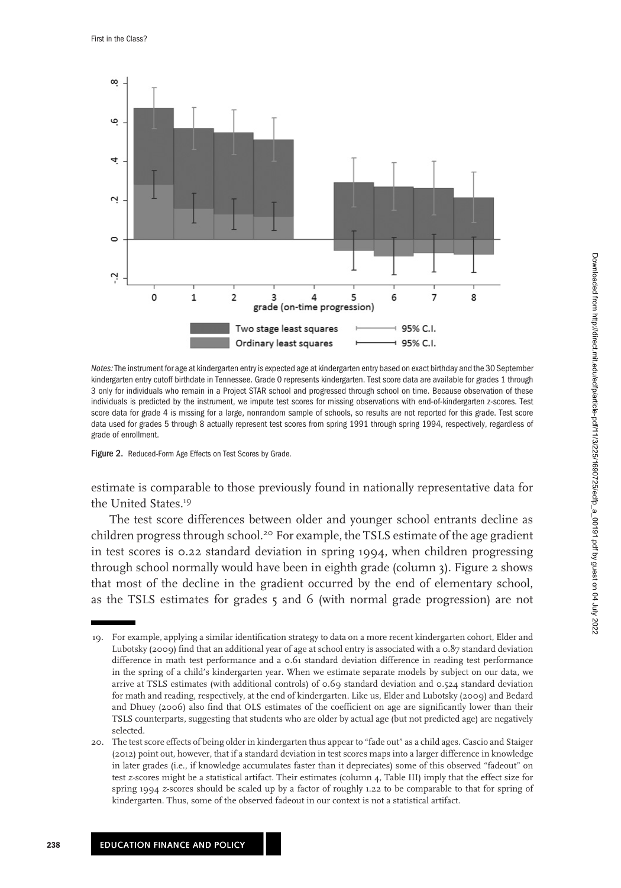

*Notes:*The instrument for age at kindergarten entry is expected age at kindergarten entry based on exact birthday and the 30 September kindergarten entry cutoff birthdate in Tennessee. Grade 0 represents kindergarten. Test score data are available for grades 1 through 3 only for individuals who remain in a Project STAR school and progressed through school on time. Because observation of these individuals is predicted by the instrument, we impute test scores for missing observations with end-of-kindergarten z-scores. Test score data for grade 4 is missing for a large, nonrandom sample of schools, so results are not reported for this grade. Test score data used for grades 5 through 8 actually represent test scores from spring 1991 through spring 1994, respectively, regardless of grade of enrollment.

Figure 2. Reduced-Form Age Effects on Test Scores by Grade.

estimate is comparable to those previously found in nationally representative data for the United States.<sup>19</sup>

The test score differences between older and younger school entrants decline as children progress through school.<sup>20</sup> For example, the TSLS estimate of the age gradient in test scores is 0.22 standard deviation in spring 1994, when children progressing through school normally would have been in eighth grade (column 3). Figure 2 shows that most of the decline in the gradient occurred by the end of elementary school, as the TSLS estimates for grades 5 and 6 (with normal grade progression) are not

<sup>1</sup>9. For example, applying a similar identification strategy to data on a more recent kindergarten cohort, Elder and Lubotsky (2009) find that an additional year of age at school entry is associated with a 0.87 standard deviation difference in math test performance and a 0.61 standard deviation difference in reading test performance in the spring of a child's kindergarten year. When we estimate separate models by subject on our data, we arrive at TSLS estimates (with additional controls) of 0.69 standard deviation and 0.524 standard deviation for math and reading, respectively, at the end of kindergarten. Like us, Elder and Lubotsky (2009) and Bedard and Dhuey (2006) also find that OLS estimates of the coefficient on age are significantly lower than their TSLS counterparts, suggesting that students who are older by actual age (but not predicted age) are negatively selected.

<sup>20.</sup> The test score effects of being older in kindergarten thus appear to "fade out" as a child ages. Cascio and Staiger (2012) point out, however, that if a standard deviation in test scores maps into a larger difference in knowledge in later grades (i.e., if knowledge accumulates faster than it depreciates) some of this observed "fadeout" on test *z*-scores might be a statistical artifact. Their estimates (column 4, Table III) imply that the effect size for spring 1994 *z*-scores should be scaled up by a factor of roughly 1.22 to be comparable to that for spring of kindergarten. Thus, some of the observed fadeout in our context is not a statistical artifact.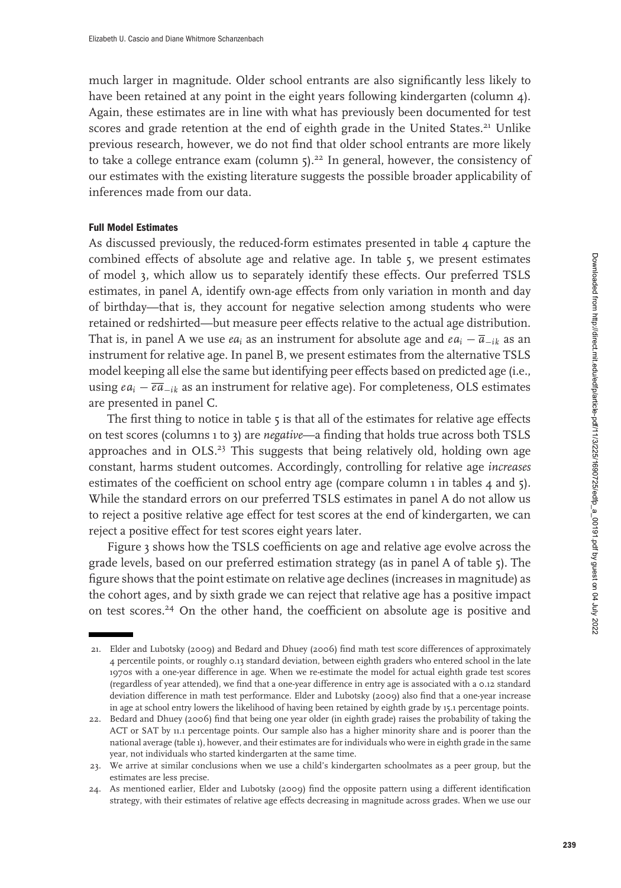much larger in magnitude. Older school entrants are also significantly less likely to have been retained at any point in the eight years following kindergarten (column 4). Again, these estimates are in line with what has previously been documented for test scores and grade retention at the end of eighth grade in the United States.<sup>21</sup> Unlike previous research, however, we do not find that older school entrants are more likely to take a college entrance exam (column  $5$ ).<sup>22</sup> In general, however, the consistency of our estimates with the existing literature suggests the possible broader applicability of inferences made from our data.

### **Full Model Estimates**

As discussed previously, the reduced-form estimates presented in table 4 capture the combined effects of absolute age and relative age. In table 5, we present estimates of model 3, which allow us to separately identify these effects. Our preferred TSLS estimates, in panel A, identify own-age effects from only variation in month and day of birthday—that is, they account for negative selection among students who were retained or redshirted—but measure peer effects relative to the actual age distribution. That is, in panel A we use  $ea_i$  as an instrument for absolute age and  $ea_i - \overline{a}_{-ik}$  as an instrument for relative age. In panel B, we present estimates from the alternative TSLS model keeping all else the same but identifying peer effects based on predicted age (i.e., using *eai* − *ea*−*ik* as an instrument for relative age). For completeness, OLS estimates are presented in panel C.

The first thing to notice in table  $5$  is that all of the estimates for relative age effects on test scores (columns 1 to 3) are *negative*—a finding that holds true across both TSLS approaches and in OLS.<sup>23</sup> This suggests that being relatively old, holding own age constant, harms student outcomes. Accordingly, controlling for relative age *increases* estimates of the coefficient on school entry age (compare column  $\iota$  in tables  $\iota$  and  $\iota$ ). While the standard errors on our preferred TSLS estimates in panel A do not allow us to reject a positive relative age effect for test scores at the end of kindergarten, we can reject a positive effect for test scores eight years later.

Figure 3 shows how the TSLS coefficients on age and relative age evolve across the grade levels, based on our preferred estimation strategy (as in panel A of table 5). The figure shows that the point estimate on relative age declines (increases in magnitude) as the cohort ages, and by sixth grade we can reject that relative age has a positive impact on test scores.<sup>24</sup> On the other hand, the coefficient on absolute age is positive and

<sup>2</sup>1. Elder and Lubotsky (2009) and Bedard and Dhuey (2006) find math test score differences of approximately 4 percentile points, or roughly 0.13 standard deviation, between eighth graders who entered school in the late 1970s with a one-year difference in age. When we re-estimate the model for actual eighth grade test scores (regardless of year attended), we find that a one-year difference in entry age is associated with a 0.12 standard deviation difference in math test performance. Elder and Lubotsky (2009) also find that a one-year increase in age at school entry lowers the likelihood of having been retained by eighth grade by 15.1 percentage points.

<sup>22.</sup> Bedard and Dhuey (2006) find that being one year older (in eighth grade) raises the probability of taking the ACT or SAT by 11.1 percentage points. Our sample also has a higher minority share and is poorer than the national average (table 1), however, and their estimates are for individuals who were in eighth grade in the same year, not individuals who started kindergarten at the same time.

<sup>23.</sup> We arrive at similar conclusions when we use a child's kindergarten schoolmates as a peer group, but the estimates are less precise.

<sup>24.</sup> As mentioned earlier, Elder and Lubotsky (2009) find the opposite pattern using a different identification strategy, with their estimates of relative age effects decreasing in magnitude across grades. When we use our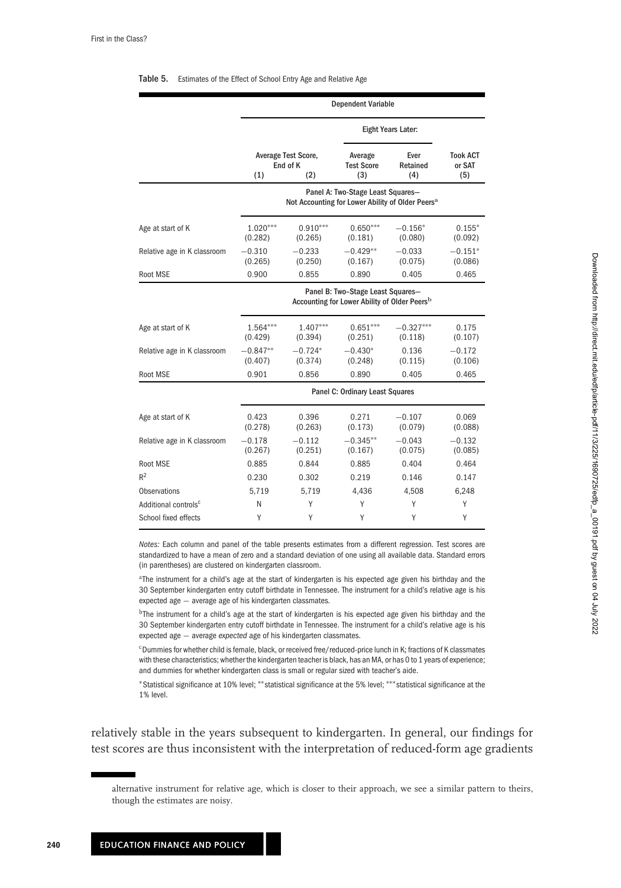# Dependent Variable Eight Years Later: Average Test Score, Average Ever Took ACT<br>End of K Test Score Retained or SAT End Test Score Retained or SAT (2) (3) (4) (5)  $(1)$   $(2)$   $(3)$   $(4)$   $(5)$ Panel A: Two-Stage Least Squares— Not Accounting for Lower Ability of Older Peers**<sup>a</sup>** Age at start of K 1.020<sup>∗∗∗</sup> 0.910<sup>∗∗∗</sup> 0.650<sup>∗∗∗</sup> −0.156<sup>∗</sup> 0.155<sup>∗</sup> 0.185<sup>∗</sup> 0.185<sup>∗</sup> (0.282) (0.085) (0.080) (0.092)  $(0.265)$ Relative age in K classroom  $-0.310$   $-0.233$   $-0.429**$   $-0.033$   $-0.151*$ <br>
(0.025) (0.265) (0.167) (0.075) (0.086) (0.265) (0.250) (0.167) (0.075) (0.086) Root MSE 0.900 0.855 0.890 0.405 0.465 Panel B: Two–Stage Least Squares— Accounting for Lower Ability of Older Peers**<sup>b</sup>** Age at start of K 1.564<sup>∗∗∗</sup> 1.407<sup>∗∗∗</sup> 0.651<sup>∗∗∗</sup> −0.327<sup>∗∗∗</sup> 0.175 (0.429) (0.394) (0.251) (0.118) (0.107) Relative age in K classroom  $-0.847^{**}$   $-0.724^{*}$   $-0.430^{*}$  0.136  $-0.172$ <br>
(0.407) (0.374) (0.248) (0.115) (0.106)  $(0.374)$ Root MSE 0.901 0.856 0.890 0.405 0.465 Panel C: Ordinary Least Squares Age at start of K  $0.423$   $0.396$   $0.271$  −0.107 0.069<br>(0.278) (0.263) (0.173) (0.079) (0.088  $(0.088)$ Relative age in K classroom  $-0.178$   $-0.112$   $-0.345**$   $-0.043$   $-0.132$ <br>
(0.267) (0.251) (0.067) (0.075) (0.085)  $(0.267)$ Root MSE 0.885 0.844 0.885 0.404 0.464  $R^2$  0.230 0.302 0.219 0.146 0.147 Observations 5,719 5,719 4,436 4,508 6,248 Additional controls<sup>c</sup> NYYYY School fixed effects Y Y Y Y Y Y Y

#### Table 5. Estimates of the Effect of School Entry Age and Relative Age

*Notes:* Each column and panel of the table presents estimates from a different regression. Test scores are standardized to have a mean of zero and a standard deviation of one using all available data. Standard errors (in parentheses) are clustered on kindergarten classroom.

aThe instrument for a child's age at the start of kindergarten is his expected age given his birthday and the 30 September kindergarten entry cutoff birthdate in Tennessee. The instrument for a child's relative age is his expected age  $−$  average age of his kindergarten classmates.

bThe instrument for a child's age at the start of kindergarten is his expected age given his birthday and the 30 September kindergarten entry cutoff birthdate in Tennessee. The instrument for a child's relative age is his expected age  $−$  average *expected* age of his kindergarten classmates.

<sup>c</sup>Dummies for whether child is female, black, or received free/reduced-price lunch in K; fractions of K classmates with these characteristics; whether the kindergarten teacher is black, has an MA, or has 0 to 1 years of experience; and dummies for whether kindergarten class is small or regular sized with teacher's aide.

∗Statistical significance at 10% level; ∗∗statistical significance at the 5% level; ∗∗∗statistical significance at the 1% level.

relatively stable in the years subsequent to kindergarten. In general, our findings for test scores are thus inconsistent with the interpretation of reduced-form age gradients

alternative instrument for relative age, which is closer to their approach, we see a similar pattern to theirs, though the estimates are noisy.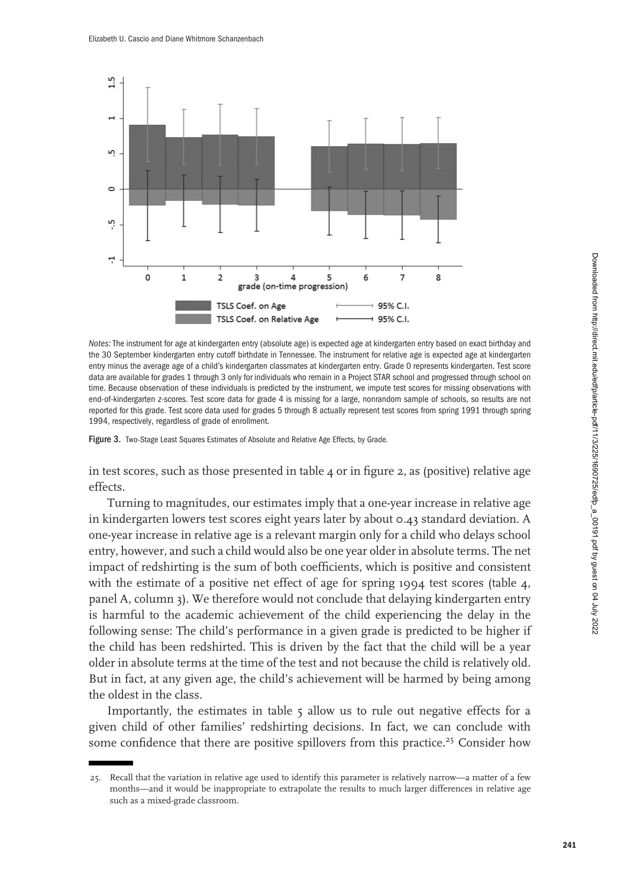

*Notes:* The instrument for age at kindergarten entry (absolute age) is expected age at kindergarten entry based on exact birthday and the 30 September kindergarten entry cutoff birthdate in Tennessee. The instrument for relative age is expected age at kindergarten entry minus the average age of a child's kindergarten classmates at kindergarten entry. Grade 0 represents kindergarten. Test score data are available for grades 1 through 3 only for individuals who remain in a Project STAR school and progressed through school on time. Because observation of these individuals is predicted by the instrument, we impute test scores for missing observations with end-of-kindergarten *z*-scores. Test score data for grade 4 is missing for a large, nonrandom sample of schools, so results are not reported for this grade. Test score data used for grades 5 through 8 actually represent test scores from spring 1991 through spring 1994, respectively, regardless of grade of enrollment.

Figure 3. Two-Stage Least Squares Estimates of Absolute and Relative Age Effects, by Grade.

in test scores, such as those presented in table  $4$  or in figure 2, as (positive) relative age effects.

Turning to magnitudes, our estimates imply that a one-year increase in relative age in kindergarten lowers test scores eight years later by about 0.43 standard deviation. A one-year increase in relative age is a relevant margin only for a child who delays school entry, however, and such a child would also be one year older in absolute terms. The net impact of redshirting is the sum of both coefficients, which is positive and consistent with the estimate of a positive net effect of age for spring 1994 test scores (table 4, panel A, column 3). We therefore would not conclude that delaying kindergarten entry is harmful to the academic achievement of the child experiencing the delay in the following sense: The child's performance in a given grade is predicted to be higher if the child has been redshirted. This is driven by the fact that the child will be a year older in absolute terms at the time of the test and not because the child is relatively old. But in fact, at any given age, the child's achievement will be harmed by being among the oldest in the class.

Importantly, the estimates in table 5 allow us to rule out negative effects for a given child of other families' redshirting decisions. In fact, we can conclude with some confidence that there are positive spillovers from this practice.<sup>25</sup> Consider how

<sup>25.</sup> Recall that the variation in relative age used to identify this parameter is relatively narrow—a matter of a few months—and it would be inappropriate to extrapolate the results to much larger differences in relative age such as a mixed-grade classroom.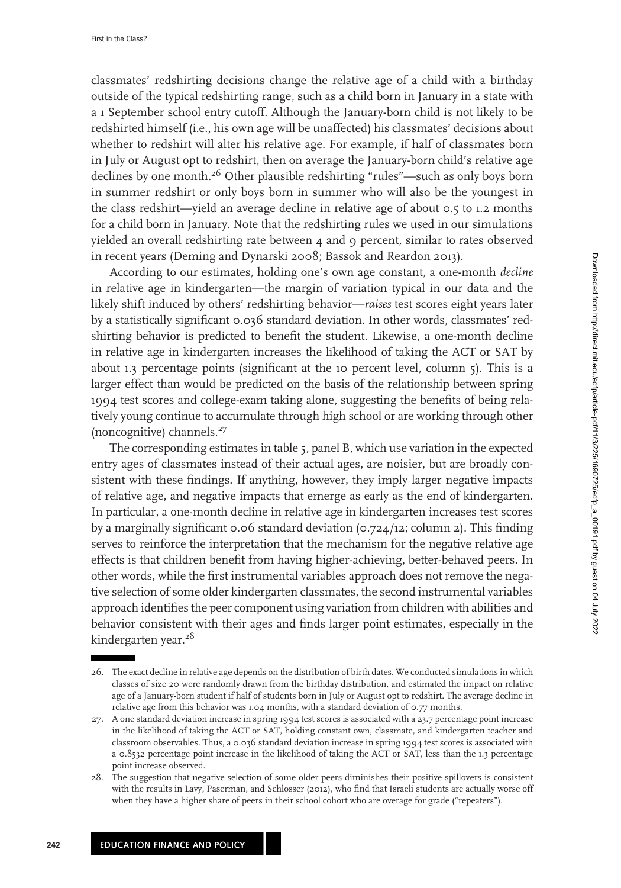classmates' redshirting decisions change the relative age of a child with a birthday outside of the typical redshirting range, such as a child born in January in a state with a 1 September school entry cutoff. Although the January-born child is not likely to be redshirted himself (i.e., his own age will be unaffected) his classmates' decisions about whether to redshirt will alter his relative age. For example, if half of classmates born in July or August opt to redshirt, then on average the January-born child's relative age declines by one month.<sup>26</sup> Other plausible redshirting "rules"—such as only boys born in summer redshirt or only boys born in summer who will also be the youngest in the class redshirt—yield an average decline in relative age of about 0.5 to 1.2 months for a child born in January. Note that the redshirting rules we used in our simulations yielded an overall redshirting rate between 4 and 9 percent, similar to rates observed in recent years (Deming and Dynarski 2008; Bassok and Reardon 2013).

According to our estimates, holding one's own age constant, a one-month *decline* in relative age in kindergarten—the margin of variation typical in our data and the likely shift induced by others' redshirting behavior—*raises* test scores eight years later by a statistically significant 0.036 standard deviation. In other words, classmates' redshirting behavior is predicted to benefit the student. Likewise, a one-month decline in relative age in kindergarten increases the likelihood of taking the ACT or SAT by about 1.3 percentage points (significant at the 10 percent level, column 5). This is a larger effect than would be predicted on the basis of the relationship between spring 1994 test scores and college-exam taking alone, suggesting the benefits of being relatively young continue to accumulate through high school or are working through other (noncognitive) channels.<sup>27</sup>

The corresponding estimates in table 5, panel B, which use variation in the expected entry ages of classmates instead of their actual ages, are noisier, but are broadly consistent with these findings. If anything, however, they imply larger negative impacts of relative age, and negative impacts that emerge as early as the end of kindergarten. In particular, a one-month decline in relative age in kindergarten increases test scores by a marginally significant 0.06 standard deviation (0.724/12; column 2). This finding serves to reinforce the interpretation that the mechanism for the negative relative age effects is that children benefit from having higher-achieving, better-behaved peers. In other words, while the first instrumental variables approach does not remove the negative selection of some older kindergarten classmates, the second instrumental variables approach identifies the peer component using variation from children with abilities and behavior consistent with their ages and finds larger point estimates, especially in the kindergarten year.<sup>28</sup>

<sup>26.</sup> The exact decline in relative age depends on the distribution of birth dates. We conducted simulations in which classes of size 20 were randomly drawn from the birthday distribution, and estimated the impact on relative age of a January-born student if half of students born in July or August opt to redshirt. The average decline in relative age from this behavior was 1.04 months, with a standard deviation of 0.77 months.

<sup>27.</sup> A one standard deviation increase in spring 1994 test scores is associated with a 23.7 percentage point increase in the likelihood of taking the ACT or SAT, holding constant own, classmate, and kindergarten teacher and classroom observables. Thus, a 0.036 standard deviation increase in spring 1994 test scores is associated with a 0.8532 percentage point increase in the likelihood of taking the ACT or SAT, less than the 1.3 percentage point increase observed.

<sup>28.</sup> The suggestion that negative selection of some older peers diminishes their positive spillovers is consistent with the results in Lavy, Paserman, and Schlosser (2012), who find that Israeli students are actually worse off when they have a higher share of peers in their school cohort who are overage for grade ("repeaters").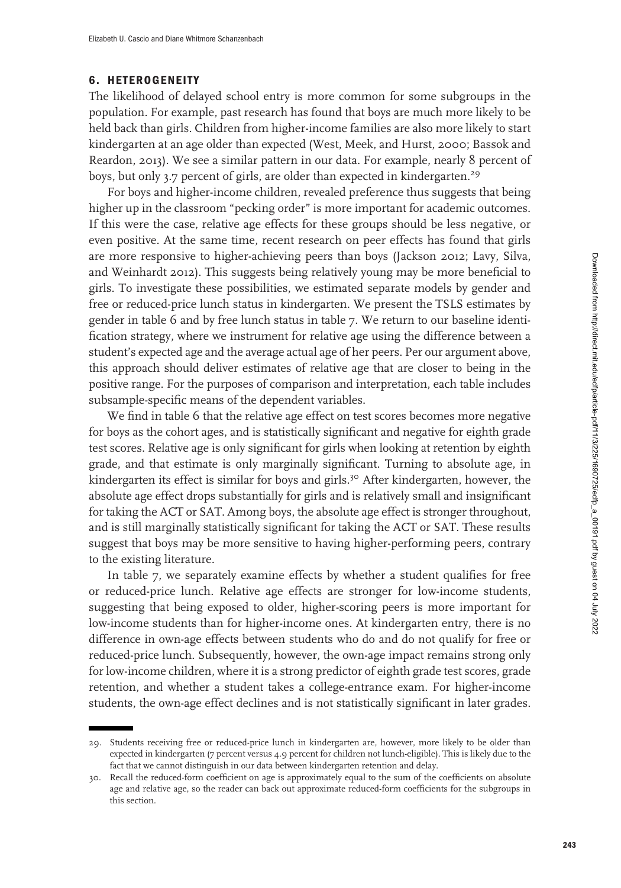# **6. HETEROGENEITY**

The likelihood of delayed school entry is more common for some subgroups in the population. For example, past research has found that boys are much more likely to be held back than girls. Children from higher-income families are also more likely to start kindergarten at an age older than expected (West, Meek, and Hurst, 2000; Bassok and Reardon, 2013). We see a similar pattern in our data. For example, nearly 8 percent of boys, but only 3.7 percent of girls, are older than expected in kindergarten.<sup>29</sup>

For boys and higher-income children, revealed preference thus suggests that being higher up in the classroom "pecking order" is more important for academic outcomes. If this were the case, relative age effects for these groups should be less negative, or even positive. At the same time, recent research on peer effects has found that girls are more responsive to higher-achieving peers than boys (Jackson 2012; Lavy, Silva, and Weinhardt 2012). This suggests being relatively young may be more beneficial to girls. To investigate these possibilities, we estimated separate models by gender and free or reduced-price lunch status in kindergarten. We present the TSLS estimates by gender in table 6 and by free lunch status in table 7. We return to our baseline identification strategy, where we instrument for relative age using the difference between a student's expected age and the average actual age of her peers. Per our argument above, this approach should deliver estimates of relative age that are closer to being in the positive range. For the purposes of comparison and interpretation, each table includes subsample-specific means of the dependent variables.

We find in table 6 that the relative age effect on test scores becomes more negative for boys as the cohort ages, and is statistically significant and negative for eighth grade test scores. Relative age is only significant for girls when looking at retention by eighth grade, and that estimate is only marginally significant. Turning to absolute age, in kindergarten its effect is similar for boys and girls.<sup>30</sup> After kindergarten, however, the absolute age effect drops substantially for girls and is relatively small and insignificant for taking the ACT or SAT. Among boys, the absolute age effect is stronger throughout, and is still marginally statistically significant for taking the ACT or SAT. These results suggest that boys may be more sensitive to having higher-performing peers, contrary to the existing literature.

In table 7, we separately examine effects by whether a student qualifies for free or reduced-price lunch. Relative age effects are stronger for low-income students, suggesting that being exposed to older, higher-scoring peers is more important for low-income students than for higher-income ones. At kindergarten entry, there is no difference in own-age effects between students who do and do not qualify for free or reduced-price lunch. Subsequently, however, the own-age impact remains strong only for low-income children, where it is a strong predictor of eighth grade test scores, grade retention, and whether a student takes a college-entrance exam. For higher-income students, the own-age effect declines and is not statistically significant in later grades.

<sup>29.</sup> Students receiving free or reduced-price lunch in kindergarten are, however, more likely to be older than expected in kindergarten (7 percent versus 4.9 percent for children not lunch-eligible). This is likely due to the fact that we cannot distinguish in our data between kindergarten retention and delay.

<sup>30.</sup> Recall the reduced-form coefficient on age is approximately equal to the sum of the coefficients on absolute age and relative age, so the reader can back out approximate reduced-form coefficients for the subgroups in this section.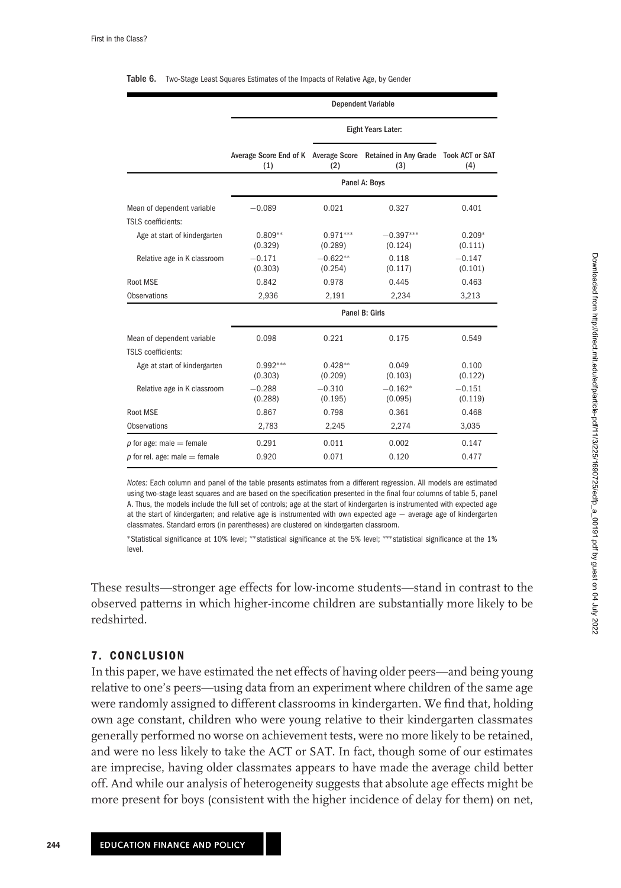|                                                         | <b>Dependent Variable</b> |                       |                                                                                   |                     |  |  |  |  |
|---------------------------------------------------------|---------------------------|-----------------------|-----------------------------------------------------------------------------------|---------------------|--|--|--|--|
|                                                         |                           |                       |                                                                                   |                     |  |  |  |  |
|                                                         | (1)                       | (2)                   | Average Score End of K Average Score Retained in Any Grade Took ACT or SAT<br>(3) | (4)                 |  |  |  |  |
|                                                         |                           |                       | Panel A: Boys                                                                     |                     |  |  |  |  |
| Mean of dependent variable<br><b>TSLS</b> coefficients: | $-0.089$                  | 0.021                 | 0.327                                                                             | 0.401               |  |  |  |  |
| Age at start of kindergarten                            | $0.809**$<br>(0.329)      | $0.971***$<br>(0.289) | $-0.397***$<br>(0.124)                                                            | $0.209*$<br>(0.111) |  |  |  |  |
| Relative age in K classroom                             | $-0.171$<br>(0.303)       | $-0.622**$<br>(0.254) | 0.118<br>(0.117)                                                                  | $-0.147$<br>(0.101) |  |  |  |  |
| Root MSE                                                | 0.842                     | 0.978                 | 0.445                                                                             | 0.463               |  |  |  |  |
| Observations                                            | 2,936                     | 2,191                 | 2.234                                                                             | 3,213               |  |  |  |  |
|                                                         |                           |                       | Panel B: Girls                                                                    |                     |  |  |  |  |
| Mean of dependent variable<br><b>TSLS</b> coefficients: | 0.098                     | 0.221                 | 0.175                                                                             | 0.549               |  |  |  |  |
| Age at start of kindergarten                            | $0.992***$<br>(0.303)     | $0.428**$<br>(0.209)  | 0.049<br>(0.103)                                                                  | 0.100<br>(0.122)    |  |  |  |  |
| Relative age in K classroom                             | $-0.288$<br>(0.288)       | $-0.310$<br>(0.195)   | $-0.162*$<br>(0.095)                                                              | $-0.151$<br>(0.119) |  |  |  |  |
| Root MSE                                                | 0.867                     | 0.798                 | 0.361                                                                             | 0.468               |  |  |  |  |
| Observations                                            | 2,783                     | 2,245                 | 2,274                                                                             | 3,035               |  |  |  |  |
| $p$ for age: male = female                              | 0.291                     | 0.011                 | 0.002                                                                             | 0.147               |  |  |  |  |
| p for rel. age: male $=$ female                         | 0.920                     | 0.071                 | 0.120                                                                             | 0.477               |  |  |  |  |

#### Table 6. Two-Stage Least Squares Estimates of the Impacts of Relative Age, by Gender

*Notes:* Each column and panel of the table presents estimates from a different regression. All models are estimated using two-stage least squares and are based on the specification presented in the final four columns of table 5, panel A. Thus, the models include the full set of controls; age at the start of kindergarten is instrumented with expected age at the start of kindergarten; and relative age is instrumented with own expected age − average age of kindergarten classmates. Standard errors (in parentheses) are clustered on kindergarten classroom.

∗Statistical significance at 10% level; ∗∗statistical significance at the 5% level; ∗∗∗statistical significance at the 1% level.

These results—stronger age effects for low-income students—stand in contrast to the observed patterns in which higher-income children are substantially more likely to be redshirted.

### **7. CONCLUSION**

In this paper, we have estimated the net effects of having older peers—and being young relative to one's peers—using data from an experiment where children of the same age were randomly assigned to different classrooms in kindergarten. We find that, holding own age constant, children who were young relative to their kindergarten classmates generally performed no worse on achievement tests, were no more likely to be retained, and were no less likely to take the ACT or SAT. In fact, though some of our estimates are imprecise, having older classmates appears to have made the average child better off. And while our analysis of heterogeneity suggests that absolute age effects might be more present for boys (consistent with the higher incidence of delay for them) on net,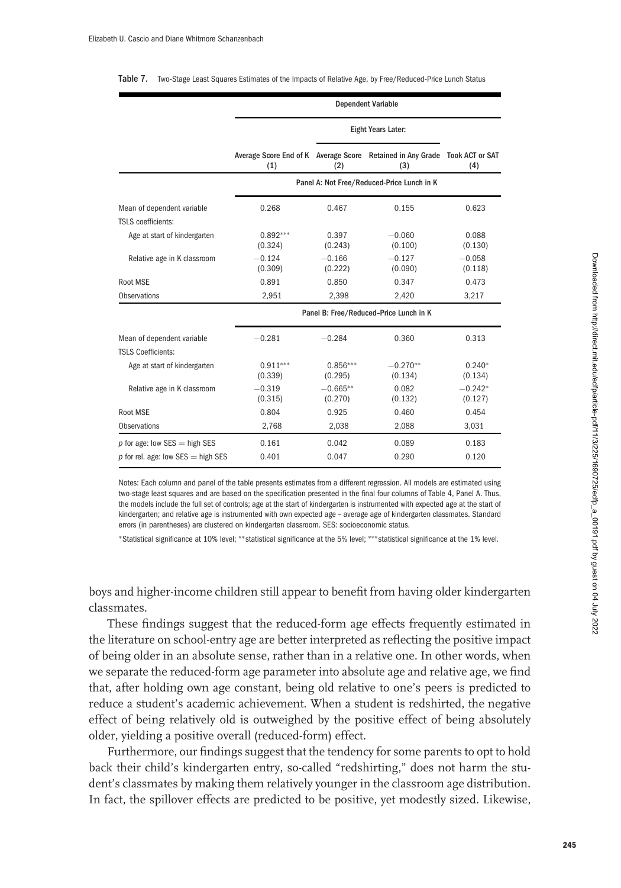#### Table 7. Two-Stage Least Squares Estimates of the Impacts of Relative Age, by Free/Reduced-Price Lunch Status

|                                                                         | <b>Dependent Variable</b>                                                         |                       |                                            |                      |  |  |  |  |
|-------------------------------------------------------------------------|-----------------------------------------------------------------------------------|-----------------------|--------------------------------------------|----------------------|--|--|--|--|
|                                                                         |                                                                                   | Eight Years Later:    |                                            |                      |  |  |  |  |
|                                                                         | Average Score End of K Average Score Retained in Any Grade Took ACT or SAT<br>(1) | (2)                   | (3)                                        | (4)                  |  |  |  |  |
|                                                                         |                                                                                   |                       | Panel A: Not Free/Reduced-Price Lunch in K |                      |  |  |  |  |
| Mean of dependent variable<br><b>TSLS</b> coefficients:                 | 0.268                                                                             | 0.467                 | 0.155                                      | 0.623                |  |  |  |  |
| Age at start of kindergarten                                            | $0.892***$<br>(0.324)                                                             | 0.397<br>(0.243)      | $-0.060$<br>(0.100)                        | 0.088<br>(0.130)     |  |  |  |  |
| Relative age in K classroom                                             | $-0.124$<br>(0.309)                                                               | $-0.166$<br>(0.222)   | $-0.127$<br>(0.090)                        | $-0.058$<br>(0.118)  |  |  |  |  |
| Root MSE                                                                | 0.891                                                                             | 0.850                 | 0.347                                      | 0.473                |  |  |  |  |
| <b>Observations</b>                                                     | 2,951                                                                             | 2,398                 | 2,420                                      | 3,217                |  |  |  |  |
|                                                                         |                                                                                   |                       | Panel B: Free/Reduced-Price Lunch in K     |                      |  |  |  |  |
| Mean of dependent variable<br><b>TSLS Coefficients:</b>                 | $-0.281$                                                                          | $-0.284$              | 0.360                                      | 0.313                |  |  |  |  |
| Age at start of kindergarten                                            | $0.911***$<br>(0.339)                                                             | $0.856***$<br>(0.295) | $-0.270**$<br>(0.134)                      | $0.240*$<br>(0.134)  |  |  |  |  |
| Relative age in K classroom                                             | $-0.319$<br>(0.315)                                                               | $-0.665**$<br>(0.270) | 0.082<br>(0.132)                           | $-0.242*$<br>(0.127) |  |  |  |  |
| Root MSE                                                                | 0.804                                                                             | 0.925                 | 0.460                                      | 0.454                |  |  |  |  |
| <b>Observations</b>                                                     | 2,768                                                                             | 2,038                 | 2,088                                      | 3,031                |  |  |  |  |
| p for age: low $SES = high SES$<br>$p$ for rel. age: low SES = high SES | 0.161<br>0.401                                                                    | 0.042<br>0.047        | 0.089<br>0.290                             | 0.183<br>0.120       |  |  |  |  |

Notes: Each column and panel of the table presents estimates from a different regression. All models are estimated using two-stage least squares and are based on the specification presented in the final four columns of Table 4, Panel A. Thus, the models include the full set of controls; age at the start of kindergarten is instrumented with expected age at the start of kindergarten; and relative age is instrumented with own expected age – average age of kindergarten classmates. Standard errors (in parentheses) are clustered on kindergarten classroom. SES: socioeconomic status.

∗Statistical significance at 10% level; ∗∗statistical significance at the 5% level; ∗∗∗statistical significance at the 1% level.

boys and higher-income children still appear to benefit from having older kindergarten classmates.

These findings suggest that the reduced-form age effects frequently estimated in the literature on school-entry age are better interpreted as reflecting the positive impact of being older in an absolute sense, rather than in a relative one. In other words, when we separate the reduced-form age parameter into absolute age and relative age, we find that, after holding own age constant, being old relative to one's peers is predicted to reduce a student's academic achievement. When a student is redshirted, the negative effect of being relatively old is outweighed by the positive effect of being absolutely older, yielding a positive overall (reduced-form) effect.

Furthermore, our findings suggest that the tendency for some parents to opt to hold back their child's kindergarten entry, so-called "redshirting," does not harm the student's classmates by making them relatively younger in the classroom age distribution. In fact, the spillover effects are predicted to be positive, yet modestly sized. Likewise,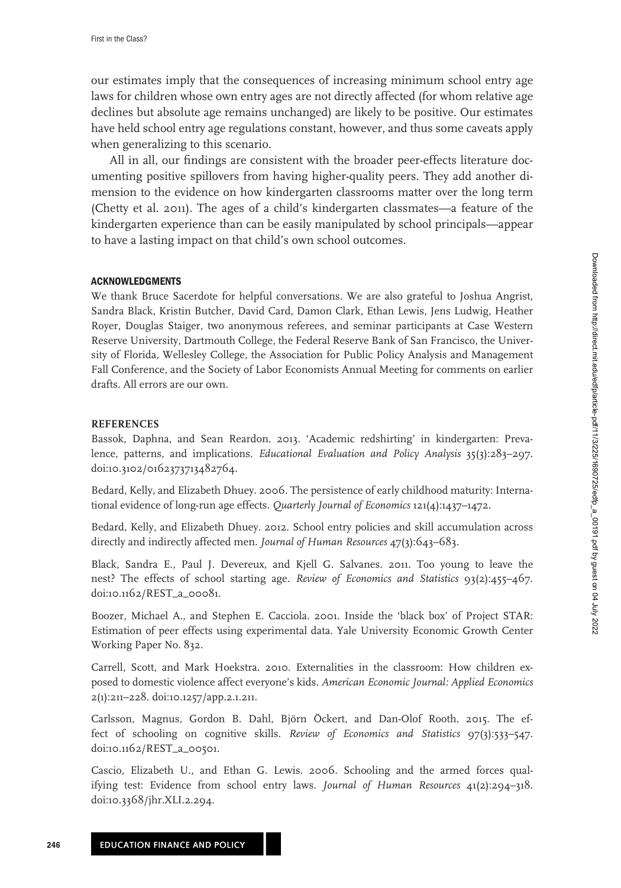our estimates imply that the consequences of increasing minimum school entry age laws for children whose own entry ages are not directly affected (for whom relative age declines but absolute age remains unchanged) are likely to be positive. Our estimates have held school entry age regulations constant, however, and thus some caveats apply when generalizing to this scenario.

All in all, our findings are consistent with the broader peer-effects literature documenting positive spillovers from having higher-quality peers. They add another dimension to the evidence on how kindergarten classrooms matter over the long term (Chetty et al. 2011). The ages of a child's kindergarten classmates—a feature of the kindergarten experience than can be easily manipulated by school principals—appear to have a lasting impact on that child's own school outcomes.

### **ACKNOWLEDGMENTS**

We thank Bruce Sacerdote for helpful conversations. We are also grateful to Joshua Angrist, Sandra Black, Kristin Butcher, David Card, Damon Clark, Ethan Lewis, Jens Ludwig, Heather Royer, Douglas Staiger, two anonymous referees, and seminar participants at Case Western Reserve University, Dartmouth College, the Federal Reserve Bank of San Francisco, the University of Florida, Wellesley College, the Association for Public Policy Analysis and Management Fall Conference, and the Society of Labor Economists Annual Meeting for comments on earlier drafts. All errors are our own.

### **REFERENCES**

Bassok, Daphna, and Sean Reardon. 2013. 'Academic redshirting' in kindergarten: Prevalence, patterns, and implications. *Educational Evaluation and Policy Analysis* 35(3):283–297. doi:10.3102/016237371[3482764.](http://dx.doi.org/10.3102/0162373713482764)

Bedard, Kelly, and Elizabeth Dhuey. 2006. The persistence of early childhood maturity: International evidence of long-run age effects. *Quarterly Journal of Economics* 121(4):1437–1472.

Bedard, Kelly, and Elizabeth Dhuey. 2012. School entry policies and skill accumulation across directly and indirectly affected men. *Journal of Human Resources* 47(3):643–683.

Black, Sandra E., Paul J. Devereux, and Kjell G. Salvanes. 2011. Too young to leave the nest? The effects of school starting age. *Review of Economics and Statistics* 93(2):455–467. doi:10.11[62/REST\\_a\\_0008](http://dx.doi.org/10.1162/REST_a_00081)1.

Boozer, Michael A., and Stephen E. Cacciola. 2001. Inside the 'black box' of Project STAR: Estimation of peer effects using experimental data. Yale University Economic Growth Center Working Paper No. 832.

Carrell, Scott, and Mark Hoekstra. 2010. Externalities in the classroom: How children exposed to domestic violence affect everyone's kids. *American Economic Journal: Applied Economics* 2(1):211–228. doi:10.1[257/app.2.](http://dx.doi.org/10.1257/app.2.1.211)1.211.

Carlsson, Magnus, Gordon B. Dahl, Björn Öckert, and Dan-Olof Rooth. 2015. The effect of schooling on cognitive skills. *Review of Economics and Statistics* 97(3):533–547. doi:10.11[62/REST\\_a\\_0050](http://dx.doi.org/10.1162/REST_a_00501)1.

Cascio, Elizabeth U., and Ethan G. Lewis. 2006. Schooling and the armed forces qualifying test: Evidence from school entry laws. *Journal of Human Resources* 41(2):294–318. doi:1[0.3368/jhr.XLI.2.294.](http://dx.doi.org/10.3368/jhr.XLI.2.294)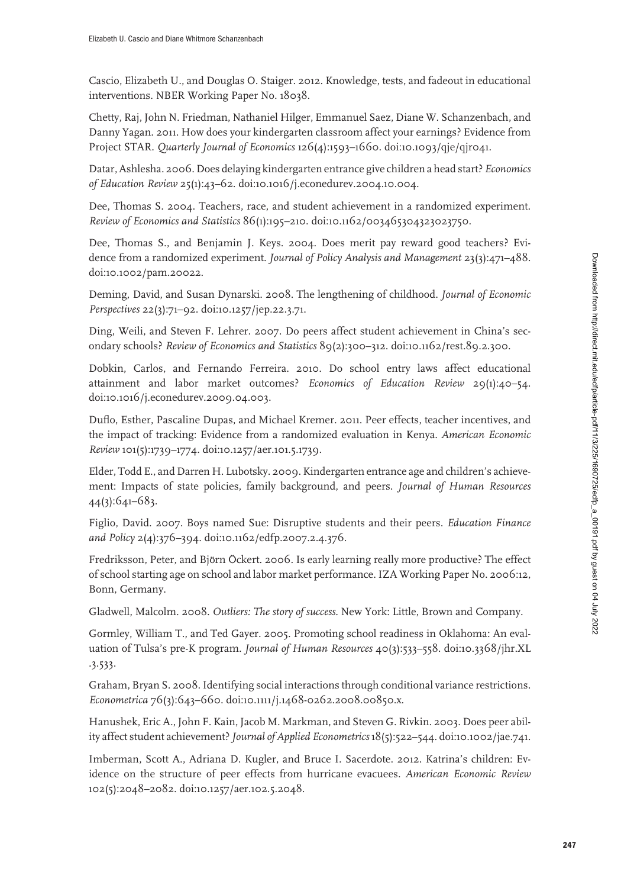Cascio, Elizabeth U., and Douglas O. Staiger. 2012. Knowledge, tests, and fadeout in educational interventions. NBER Working Paper No. 18038.

Chetty, Raj, John N. Friedman, Nathaniel Hilger, Emmanuel Saez, Diane W. Schanzenbach, and Danny Yagan. 2011. How does your kindergarten classroom affect your earnings? Evidence from Project STAR. *Quarterly Journal of Economics* 126(4):1593–1660. doi:10.1[093/qje/qjr04](http://dx.doi.org/10.1093/qje/qjr041)1.

Datar, Ashlesha. 2006. Does delaying kindergarten entrance give children a head start? *Economics of Education Review* 25(1):43–62. doi:10.101[6/j.econedurev.2004.](http://dx.doi.org/10.1016/j.econedurev.2004.10.004)10.004.

Dee, Thomas S. 2004. Teachers, race, and student achievement in a randomized experiment. *Review of Economics and Statistics* 86(1):195–210. doi:10.11[62/003465304323023750.](http://dx.doi.org/10.1162/003465304323023750)

Dee, Thomas S., and Benjamin J. Keys. 2004. Does merit pay reward good teachers? Evidence from a randomized experiment. *Journal of Policy Analysis and Management* 23(3):471–488. doi:10.1[002/pam.20022.](http://dx.doi.org/10.1002/pam.20022)

Deming, David, and Susan Dynarski. 2008. The lengthening of childhood. *Journal of Economic Perspectives* 22(3):71–92. doi:10.1[257/jep.22.3.7](http://dx.doi.org/10.1257/jep.22.3.71)1.

Ding, Weili, and Steven F. Lehrer. 2007. Do peers affect student achievement in China's secondary schools? *Review of Economics and Statistics* 89(2):300–312. doi:10.11[62/rest.89.2.300.](http://dx.doi.org/10.1162/rest.89.2.300)

Dobkin, Carlos, and Fernando Ferreira. 2010. Do school entry laws affect educational attainment and labor market outcomes? *Economics of Education Review* 29(1):40–54. doi:10.101[6/j.econedurev.2009.04.003.](http://dx.doi.org/10.1016/j.econedurev.2009.04.003)

Duflo, Esther, Pascaline Dupas, and Michael Kremer. 2011. Peer effects, teacher incentives, and the impact of tracking: Evidence from a randomized evaluation in Kenya. *American Economic Review* 101(5):1739–1774. doi:10.1[257/aer.](http://dx.doi.org/10.1257/aer.101.5.1739)101.5.1739.

Elder, Todd E., and Darren H. Lubotsky. 2009. Kindergarten entrance age and children's achievement: Impacts of state policies, family background, and peers. *Journal of Human Resources* 44(3):641–683.

Figlio, David. 2007. Boys named Sue: Disruptive students and their peers. *Education Finance and Policy* 2(4):376–394. doi:10.11[62/edfp.2007.2.4.376.](http://dx.doi.org/10.1162/edfp.2007.2.4.376)

Fredriksson, Peter, and Björn Öckert. 2006. Is early learning really more productive? The effect of school starting age on school and labor market performance. IZA Working Paper No. 2006:12, Bonn, Germany.

Gladwell, Malcolm. 2008. *Outliers: The story of success*. New York: Little, Brown and Company.

Gormley, William T., and Ted Gayer. 2005. Promoting school readiness in Oklahoma: An evaluation of Tulsa's pre-K program. *Journal of Human Resources* 40(3):533–558. doi:10.3368/jhr.XL .3.533.

Graham, Bryan S. 2008. Identifying social interactions through conditional variance restrictions. *Econometrica* 76(3):643–660. doi:10.1111/j.1[468-0262.2008.00850.x.](http://dx.doi.org/10.1111/j.1468-0262.2008.00850.x)

Hanushek, Eric A., John F. Kain, Jacob M. Markman, and Steven G. Rivkin. 2003. Does peer ability affect student achievement? *Journal of Applied Econometrics* 18(5):522–544. doi:10.1[002/jae.74](http://dx.doi.org/10.1002/jae.741)1.

Imberman, Scott A., Adriana D. Kugler, and Bruce I. Sacerdote. 2012. Katrina's children: Evidence on the structure of peer effects from hurricane evacuees. *American Economic Review* 102(5):2048–2082. doi:10.1257/aer.1[02.5.2048.](http://dx.doi.org/10.1257/aer.102.5.2048)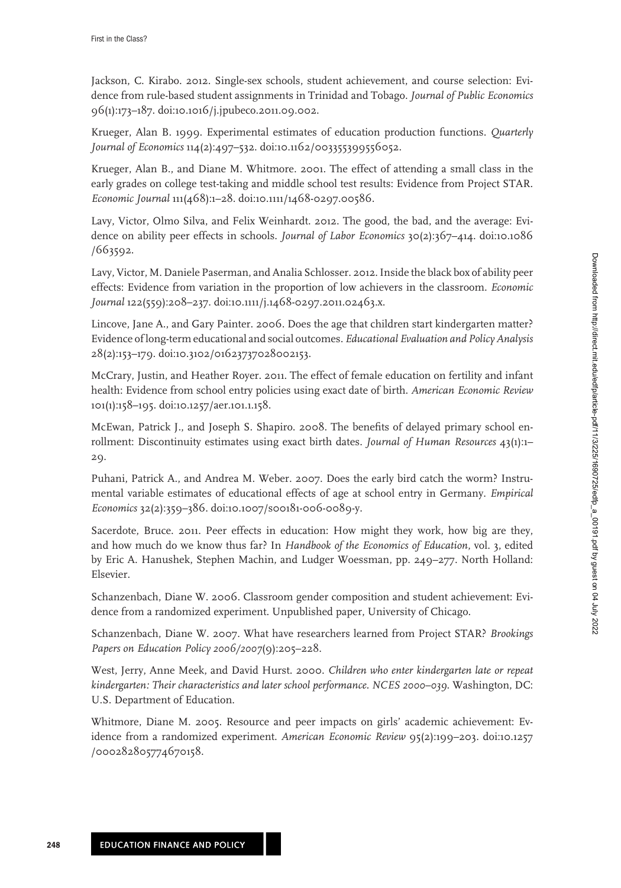Jackson, C. Kirabo. 2012. Single-sex schools, student achievement, and course selection: Evidence from rule-based student assignments in Trinidad and Tobago. *Journal of Public Economics* 96(1):173–187. doi:10.101[6/j.jpubeco.20](http://dx.doi.org/10.1016/j.jpubeco.2011.09.002)11.09.002.

Krueger, Alan B. 1999. Experimental estimates of education production functions. *Quarterly Journal of Economics* 114(2):497–532. doi:10.11[62/003355399556052.](http://dx.doi.org/10.1162/003355399556052)

Krueger, Alan B., and Diane M. Whitmore. 2001. The effect of attending a small class in the early grades on college test-taking and middle school test results: Evidence from Project STAR. *Economic Journal* 111(468):1–28. doi:10.1111/1[468-0297.00586.](http://dx.doi.org/10.1111/1468-0297.00586)

Lavy, Victor, Olmo Silva, and Felix Weinhardt. 2012. The good, the bad, and the average: Evidence on ability peer effects in schools. *Journal of Labor Economics* 30(2):367–414. doi:10.1086 /663592.

Lavy, Victor, M. Daniele Paserman, and Analia Schlosser. 2012. Inside the black box of ability peer effects: Evidence from variation in the proportion of low achievers in the classroom. *Economic Journal* 122(559):208–237. doi:10.1111/j.1[468-0297.20](http://dx.doi.org/10.1111/j.1468-0297.2011.02463.x)11.02463.x.

Lincove, Jane A., and Gary Painter. 2006. Does the age that children start kindergarten matter? Evidence of long-term educational and social outcomes. *Educational Evaluation and Policy Analysis* 28(2):153–179. doi:10.3102/01[623737028002](http://dx.doi.org/10.3102/01623737028002153)153.

McCrary, Justin, and Heather Royer. 2011. The effect of female education on fertility and infant health: Evidence from school entry policies using exact date of birth. *American Economic Review* 101(1):158–195. doi:10.1[257/aer.](http://dx.doi.org/10.1257/aer.101.1.158)101.1.158.

McEwan, Patrick J., and Joseph S. Shapiro. 2008. The benefits of delayed primary school enrollment: Discontinuity estimates using exact birth dates. *Journal of Human Resources* 43(1):1– 29.

Puhani, Patrick A., and Andrea M. Weber. 2007. Does the early bird catch the worm? Instrumental variable estimates of educational effects of age at school entry in Germany. *Empirical Economics* 32(2):359–386. doi:10.1007/s00181[-006-0089-y.](http://dx.doi.org/10.1007/s00181-006-0089-y)

Sacerdote, Bruce. 2011. Peer effects in education: How might they work, how big are they, and how much do we know thus far? In *Handbook of the Economics of Education*, vol. 3, edited by Eric A. Hanushek, Stephen Machin, and Ludger Woessman, pp. 249–277. North Holland: Elsevier.

Schanzenbach, Diane W. 2006. Classroom gender composition and student achievement: Evidence from a randomized experiment. Unpublished paper, University of Chicago.

Schanzenbach, Diane W. 2007. What have researchers learned from Project STAR? *Brookings Papers on Education Policy 2006/2007*(9):205–228.

West, Jerry, Anne Meek, and David Hurst. 2000. *Children who enter kindergarten late or repeat kindergarten: Their characteristics and later school performance. NCES 2000–039*. Washington, DC: U.S. Department of Education.

Whitmore, Diane M. 2005. Resource and peer impacts on girls' academic achievement: Evidence from a randomized experiment. *American Economic Review* 95(2):199–203. doi:10.1257 /000282805774670158.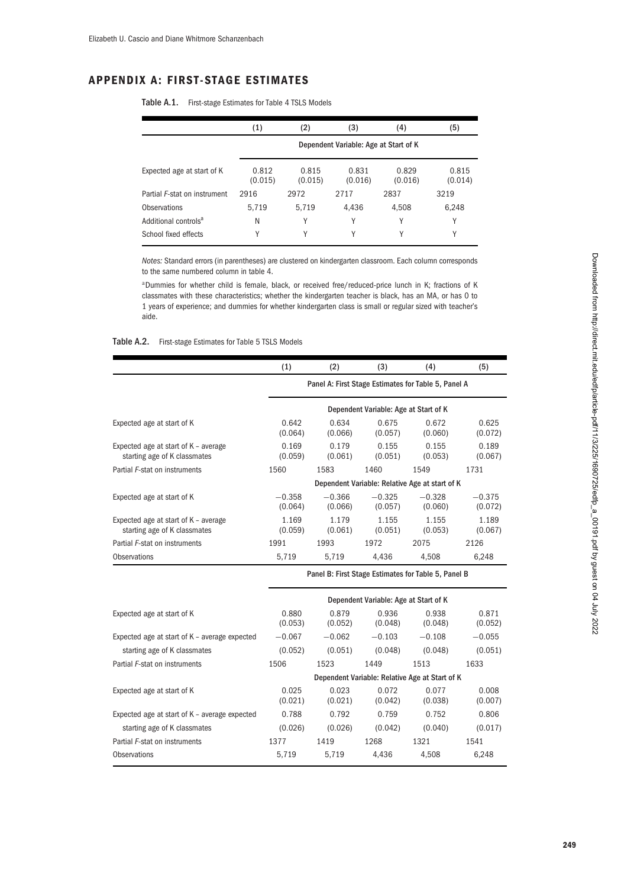# **APPENDIX A: FIRST-STAGE ESTIMATES**

|                                  | (1)                                   | (2)              | (3)              | (4)              | (5)              |  |  |  |
|----------------------------------|---------------------------------------|------------------|------------------|------------------|------------------|--|--|--|
|                                  | Dependent Variable: Age at Start of K |                  |                  |                  |                  |  |  |  |
| Expected age at start of K       | 0.812<br>(0.015)                      | 0.815<br>(0.015) | 0.831<br>(0.016) | 0.829<br>(0.016) | 0.815<br>(0.014) |  |  |  |
| Partial F-stat on instrument     | 2916                                  | 2972             | 2717             | 2837             | 3219             |  |  |  |
| Observations                     | 5,719                                 | 5,719            | 4.436            | 4,508            | 6,248            |  |  |  |
| Additional controls <sup>a</sup> | N                                     | Υ                | Υ                | Υ                | Υ                |  |  |  |
| School fixed effects             | Υ                                     | Υ                | Υ                | Υ                | Υ                |  |  |  |

Table A.1. First-stage Estimates for Table 4 TSLS Models

*Notes:* Standard errors (in parentheses) are clustered on kindergarten classroom. Each column corresponds to the same numbered column in table 4.

<sup>a</sup>Dummies for whether child is female, black, or received free/reduced-price lunch in K; fractions of K classmates with these characteristics; whether the kindergarten teacher is black, has an MA, or has 0 to 1 years of experience; and dummies for whether kindergarten class is small or regular sized with teacher's aide.

| Table A.2. | First-stage Estimates for Table 5 TSLS Models |  |  |  |  |  |
|------------|-----------------------------------------------|--|--|--|--|--|
|------------|-----------------------------------------------|--|--|--|--|--|

|                                                                      | (1)                                                 | (2)                 | (3)                                   | (4)                                            | (5)                 |  |  |
|----------------------------------------------------------------------|-----------------------------------------------------|---------------------|---------------------------------------|------------------------------------------------|---------------------|--|--|
|                                                                      | Panel A: First Stage Estimates for Table 5, Panel A |                     |                                       |                                                |                     |  |  |
|                                                                      |                                                     |                     | Dependent Variable: Age at Start of K |                                                |                     |  |  |
| Expected age at start of K                                           | 0.642<br>(0.064)                                    | 0.634<br>(0.066)    | 0.675<br>(0.057)                      | 0.672<br>(0.060)                               | 0.625<br>(0.072)    |  |  |
| Expected age at start of K - average<br>starting age of K classmates | 0.169<br>(0.059)                                    | 0.179<br>(0.061)    | 0.155<br>(0.051)                      | 0.155<br>(0.053)                               | 0.189<br>(0.067)    |  |  |
| Partial F-stat on instruments                                        | 1560                                                | 1583                | 1460                                  | 1549                                           | 1731                |  |  |
|                                                                      |                                                     |                     |                                       | Dependent Variable: Relative Age at start of K |                     |  |  |
| Expected age at start of K                                           | $-0.358$<br>(0.064)                                 | $-0.366$<br>(0.066) | $-0.325$<br>(0.057)                   | $-0.328$<br>(0.060)                            | $-0.375$<br>(0.072) |  |  |
| Expected age at start of K - average<br>starting age of K classmates | 1.169<br>(0.059)                                    | 1.179<br>(0.061)    | 1.155<br>(0.051)                      | 1.155<br>(0.053)                               | 1.189<br>(0.067)    |  |  |
| Partial F-stat on instruments                                        | 1991                                                | 1993                | 1972                                  | 2075                                           | 2126                |  |  |
| Observations                                                         | 5,719                                               | 5,719               | 4,436                                 | 4,508                                          | 6,248               |  |  |
|                                                                      | Panel B: First Stage Estimates for Table 5, Panel B |                     |                                       |                                                |                     |  |  |
|                                                                      | Dependent Variable: Age at Start of K               |                     |                                       |                                                |                     |  |  |

| Dependent Variable: Age at Start of K |                  |                  |                  |                                                |  |
|---------------------------------------|------------------|------------------|------------------|------------------------------------------------|--|
| 0.880<br>(0.053)                      | 0.879<br>(0.052) | 0.936<br>(0.048) | 0.938<br>(0.048) | 0.871<br>(0.052)                               |  |
| $-0.067$                              | $-0.062$         | $-0.103$         | $-0.108$         | $-0.055$                                       |  |
| (0.052)                               | (0.051)          | (0.048)          | (0.048)          | (0.051)                                        |  |
| 1506                                  | 1523             | 1449             | 1513             | 1633                                           |  |
|                                       |                  |                  |                  |                                                |  |
| 0.025<br>(0.021)                      | 0.023<br>(0.021) | 0.072<br>(0.042) | 0.077<br>(0.038) | 0.008<br>(0.007)                               |  |
| 0.788                                 | 0.792            | 0.759            | 0.752            | 0.806                                          |  |
| (0.026)                               | (0.026)          | (0.042)          | (0.040)          | (0.017)                                        |  |
| 1377                                  | 1419             | 1268             | 1321             | 1541                                           |  |
| 5.719                                 | 5.719            | 4.436            | 4.508            | 6.248                                          |  |
|                                       |                  |                  |                  | Dependent Variable: Relative Age at Start of K |  |